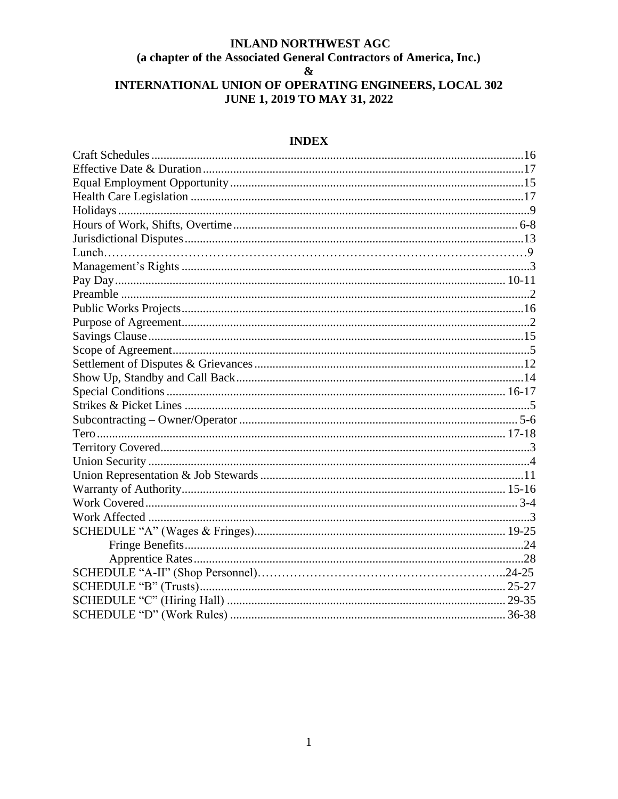# **INLAND NORTHWEST AGC** (a chapter of the Associated General Contractors of America, Inc.)  $\pmb{\&}$ INTERNATIONAL UNION OF OPERATING ENGINEERS, LOCAL 302 **JUNE 1, 2019 TO MAY 31, 2022**

# **INDEX**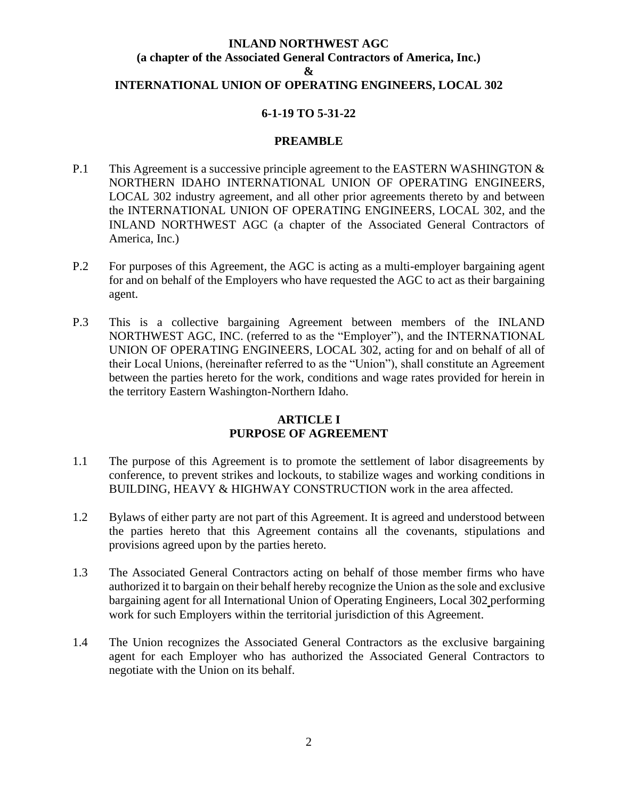# **INLAND NORTHWEST AGC (a chapter of the Associated General Contractors of America, Inc.) & INTERNATIONAL UNION OF OPERATING ENGINEERS, LOCAL 302**

# **6-1-19 TO 5-31-22**

#### **PREAMBLE**

- P.1 This Agreement is a successive principle agreement to the EASTERN WASHINGTON & NORTHERN IDAHO INTERNATIONAL UNION OF OPERATING ENGINEERS, LOCAL 302 industry agreement, and all other prior agreements thereto by and between the INTERNATIONAL UNION OF OPERATING ENGINEERS, LOCAL 302, and the INLAND NORTHWEST AGC (a chapter of the Associated General Contractors of America, Inc.)
- P.2 For purposes of this Agreement, the AGC is acting as a multi-employer bargaining agent for and on behalf of the Employers who have requested the AGC to act as their bargaining agent.
- P.3 This is a collective bargaining Agreement between members of the INLAND NORTHWEST AGC, INC. (referred to as the "Employer"), and the INTERNATIONAL UNION OF OPERATING ENGINEERS, LOCAL 302, acting for and on behalf of all of their Local Unions, (hereinafter referred to as the "Union"), shall constitute an Agreement between the parties hereto for the work, conditions and wage rates provided for herein in the territory Eastern Washington-Northern Idaho.

### **ARTICLE I PURPOSE OF AGREEMENT**

- 1.1 The purpose of this Agreement is to promote the settlement of labor disagreements by conference, to prevent strikes and lockouts, to stabilize wages and working conditions in BUILDING, HEAVY & HIGHWAY CONSTRUCTION work in the area affected.
- 1.2 Bylaws of either party are not part of this Agreement. It is agreed and understood between the parties hereto that this Agreement contains all the covenants, stipulations and provisions agreed upon by the parties hereto.
- 1.3 The Associated General Contractors acting on behalf of those member firms who have authorized it to bargain on their behalf hereby recognize the Union as the sole and exclusive bargaining agent for all International Union of Operating Engineers, Local 302 performing work for such Employers within the territorial jurisdiction of this Agreement.
- 1.4 The Union recognizes the Associated General Contractors as the exclusive bargaining agent for each Employer who has authorized the Associated General Contractors to negotiate with the Union on its behalf.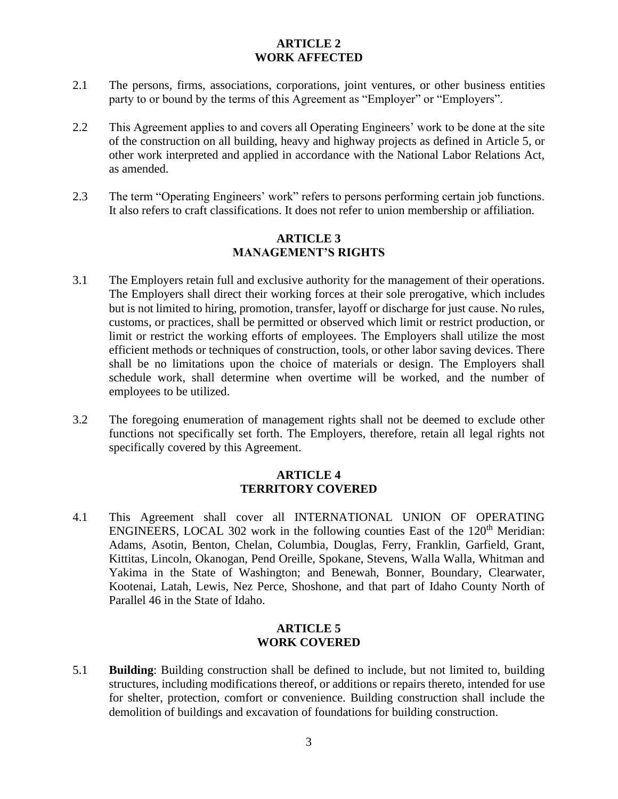# **ARTICLE 2 WORK AFFECTED**

- 2.1 The persons, firms, associations, corporations, joint ventures, or other business entities party to or bound by the terms of this Agreement as "Employer" or "Employers".
- 2.2 This Agreement applies to and covers all Operating Engineers' work to be done at the site of the construction on all building, heavy and highway projects as defined in Article 5, or other work interpreted and applied in accordance with the National Labor Relations Act, as amended.
- 2.3 The term "Operating Engineers' work" refers to persons performing certain job functions. It also refers to craft classifications. It does not refer to union membership or affiliation.

## **ARTICLE 3 MANAGEMENT'S RIGHTS**

- 3.1 The Employers retain full and exclusive authority for the management of their operations. The Employers shall direct their working forces at their sole prerogative, which includes but is not limited to hiring, promotion, transfer, layoff or discharge for just cause. No rules, customs, or practices, shall be permitted or observed which limit or restrict production, or limit or restrict the working efforts of employees. The Employers shall utilize the most efficient methods or techniques of construction, tools, or other labor saving devices. There shall be no limitations upon the choice of materials or design. The Employers shall schedule work, shall determine when overtime will be worked, and the number of employees to be utilized.
- 3.2 The foregoing enumeration of management rights shall not be deemed to exclude other functions not specifically set forth. The Employers, therefore, retain all legal rights not specifically covered by this Agreement.

## **ARTICLE 4 TERRITORY COVERED**

4.1 This Agreement shall cover all INTERNATIONAL UNION OF OPERATING ENGINEERS, LOCAL 302 work in the following counties East of the  $120<sup>th</sup>$  Meridian: Adams, Asotin, Benton, Chelan, Columbia, Douglas, Ferry, Franklin, Garfield, Grant, Kittitas, Lincoln, Okanogan, Pend Oreille, Spokane, Stevens, Walla Walla, Whitman and Yakima in the State of Washington; and Benewah, Bonner, Boundary, Clearwater, Kootenai, Latah, Lewis, Nez Perce, Shoshone, and that part of Idaho County North of Parallel 46 in the State of Idaho.

## **ARTICLE 5 WORK COVERED**

5.1 **Building**: Building construction shall be defined to include, but not limited to, building structures, including modifications thereof, or additions or repairs thereto, intended for use for shelter, protection, comfort or convenience. Building construction shall include the demolition of buildings and excavation of foundations for building construction.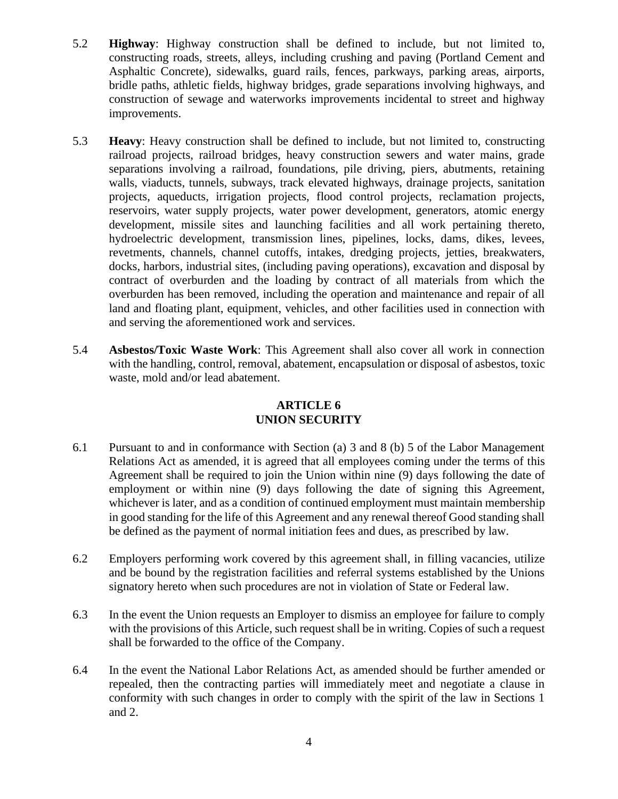- 5.2 **Highway**: Highway construction shall be defined to include, but not limited to, constructing roads, streets, alleys, including crushing and paving (Portland Cement and Asphaltic Concrete), sidewalks, guard rails, fences, parkways, parking areas, airports, bridle paths, athletic fields, highway bridges, grade separations involving highways, and construction of sewage and waterworks improvements incidental to street and highway improvements.
- 5.3 **Heavy**: Heavy construction shall be defined to include, but not limited to, constructing railroad projects, railroad bridges, heavy construction sewers and water mains, grade separations involving a railroad, foundations, pile driving, piers, abutments, retaining walls, viaducts, tunnels, subways, track elevated highways, drainage projects, sanitation projects, aqueducts, irrigation projects, flood control projects, reclamation projects, reservoirs, water supply projects, water power development, generators, atomic energy development, missile sites and launching facilities and all work pertaining thereto, hydroelectric development, transmission lines, pipelines, locks, dams, dikes, levees, revetments, channels, channel cutoffs, intakes, dredging projects, jetties, breakwaters, docks, harbors, industrial sites, (including paving operations), excavation and disposal by contract of overburden and the loading by contract of all materials from which the overburden has been removed, including the operation and maintenance and repair of all land and floating plant, equipment, vehicles, and other facilities used in connection with and serving the aforementioned work and services.
- 5.4 **Asbestos/Toxic Waste Work**: This Agreement shall also cover all work in connection with the handling, control, removal, abatement, encapsulation or disposal of asbestos, toxic waste, mold and/or lead abatement.

# **ARTICLE 6 UNION SECURITY**

- 6.1 Pursuant to and in conformance with Section (a) 3 and 8 (b) 5 of the Labor Management Relations Act as amended, it is agreed that all employees coming under the terms of this Agreement shall be required to join the Union within nine (9) days following the date of employment or within nine (9) days following the date of signing this Agreement, whichever is later, and as a condition of continued employment must maintain membership in good standing for the life of this Agreement and any renewal thereof Good standing shall be defined as the payment of normal initiation fees and dues, as prescribed by law.
- 6.2 Employers performing work covered by this agreement shall, in filling vacancies, utilize and be bound by the registration facilities and referral systems established by the Unions signatory hereto when such procedures are not in violation of State or Federal law.
- 6.3 In the event the Union requests an Employer to dismiss an employee for failure to comply with the provisions of this Article, such request shall be in writing. Copies of such a request shall be forwarded to the office of the Company.
- 6.4 In the event the National Labor Relations Act, as amended should be further amended or repealed, then the contracting parties will immediately meet and negotiate a clause in conformity with such changes in order to comply with the spirit of the law in Sections 1 and 2.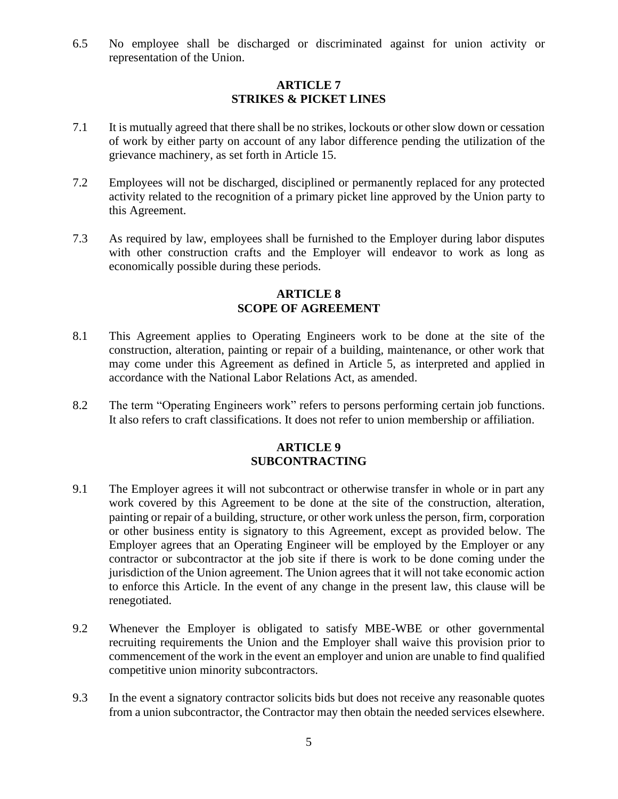6.5 No employee shall be discharged or discriminated against for union activity or representation of the Union.

# **ARTICLE 7 STRIKES & PICKET LINES**

- 7.1 It is mutually agreed that there shall be no strikes, lockouts or other slow down or cessation of work by either party on account of any labor difference pending the utilization of the grievance machinery, as set forth in Article 15.
- 7.2 Employees will not be discharged, disciplined or permanently replaced for any protected activity related to the recognition of a primary picket line approved by the Union party to this Agreement.
- 7.3 As required by law, employees shall be furnished to the Employer during labor disputes with other construction crafts and the Employer will endeavor to work as long as economically possible during these periods.

# **ARTICLE 8 SCOPE OF AGREEMENT**

- 8.1 This Agreement applies to Operating Engineers work to be done at the site of the construction, alteration, painting or repair of a building, maintenance, or other work that may come under this Agreement as defined in Article 5, as interpreted and applied in accordance with the National Labor Relations Act, as amended.
- 8.2 The term "Operating Engineers work" refers to persons performing certain job functions. It also refers to craft classifications. It does not refer to union membership or affiliation.

### **ARTICLE 9 SUBCONTRACTING**

- 9.1 The Employer agrees it will not subcontract or otherwise transfer in whole or in part any work covered by this Agreement to be done at the site of the construction, alteration, painting or repair of a building, structure, or other work unless the person, firm, corporation or other business entity is signatory to this Agreement, except as provided below. The Employer agrees that an Operating Engineer will be employed by the Employer or any contractor or subcontractor at the job site if there is work to be done coming under the jurisdiction of the Union agreement. The Union agrees that it will not take economic action to enforce this Article. In the event of any change in the present law, this clause will be renegotiated.
- 9.2 Whenever the Employer is obligated to satisfy MBE-WBE or other governmental recruiting requirements the Union and the Employer shall waive this provision prior to commencement of the work in the event an employer and union are unable to find qualified competitive union minority subcontractors.
- 9.3 In the event a signatory contractor solicits bids but does not receive any reasonable quotes from a union subcontractor, the Contractor may then obtain the needed services elsewhere.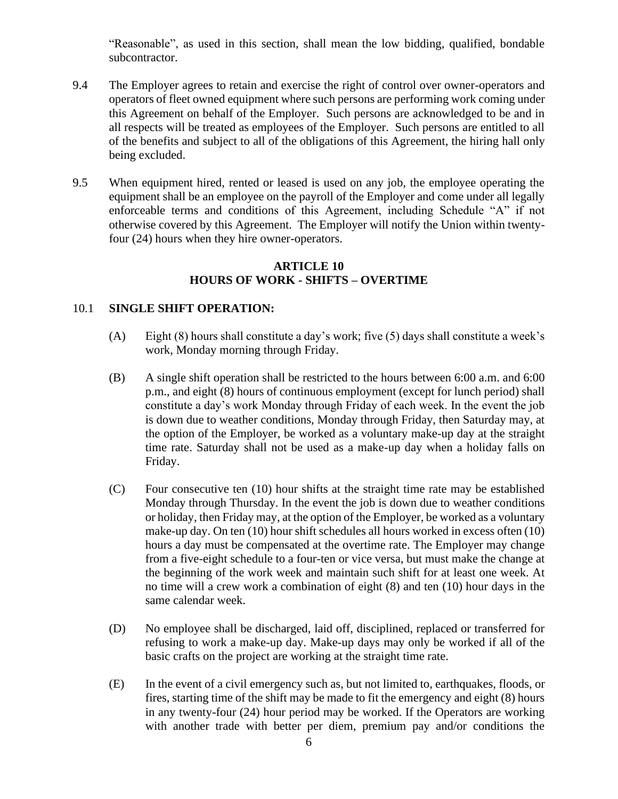"Reasonable", as used in this section, shall mean the low bidding, qualified, bondable subcontractor.

- 9.4 The Employer agrees to retain and exercise the right of control over owner-operators and operators of fleet owned equipment where such persons are performing work coming under this Agreement on behalf of the Employer. Such persons are acknowledged to be and in all respects will be treated as employees of the Employer. Such persons are entitled to all of the benefits and subject to all of the obligations of this Agreement, the hiring hall only being excluded.
- 9.5 When equipment hired, rented or leased is used on any job, the employee operating the equipment shall be an employee on the payroll of the Employer and come under all legally enforceable terms and conditions of this Agreement, including Schedule "A" if not otherwise covered by this Agreement. The Employer will notify the Union within twentyfour (24) hours when they hire owner-operators.

# **ARTICLE 10 HOURS OF WORK - SHIFTS – OVERTIME**

## 10.1 **SINGLE SHIFT OPERATION:**

- (A) Eight (8) hours shall constitute a day's work; five (5) days shall constitute a week's work, Monday morning through Friday.
- (B) A single shift operation shall be restricted to the hours between 6:00 a.m. and 6:00 p.m., and eight (8) hours of continuous employment (except for lunch period) shall constitute a day's work Monday through Friday of each week. In the event the job is down due to weather conditions, Monday through Friday, then Saturday may, at the option of the Employer, be worked as a voluntary make-up day at the straight time rate. Saturday shall not be used as a make-up day when a holiday falls on Friday.
- (C) Four consecutive ten (10) hour shifts at the straight time rate may be established Monday through Thursday. In the event the job is down due to weather conditions or holiday, then Friday may, at the option of the Employer, be worked as a voluntary make-up day. On ten (10) hour shift schedules all hours worked in excess often (10) hours a day must be compensated at the overtime rate. The Employer may change from a five-eight schedule to a four-ten or vice versa, but must make the change at the beginning of the work week and maintain such shift for at least one week. At no time will a crew work a combination of eight (8) and ten (10) hour days in the same calendar week.
- (D) No employee shall be discharged, laid off, disciplined, replaced or transferred for refusing to work a make-up day. Make-up days may only be worked if all of the basic crafts on the project are working at the straight time rate.
- (E) In the event of a civil emergency such as, but not limited to, earthquakes, floods, or fires, starting time of the shift may be made to fit the emergency and eight (8) hours in any twenty-four (24) hour period may be worked. If the Operators are working with another trade with better per diem, premium pay and/or conditions the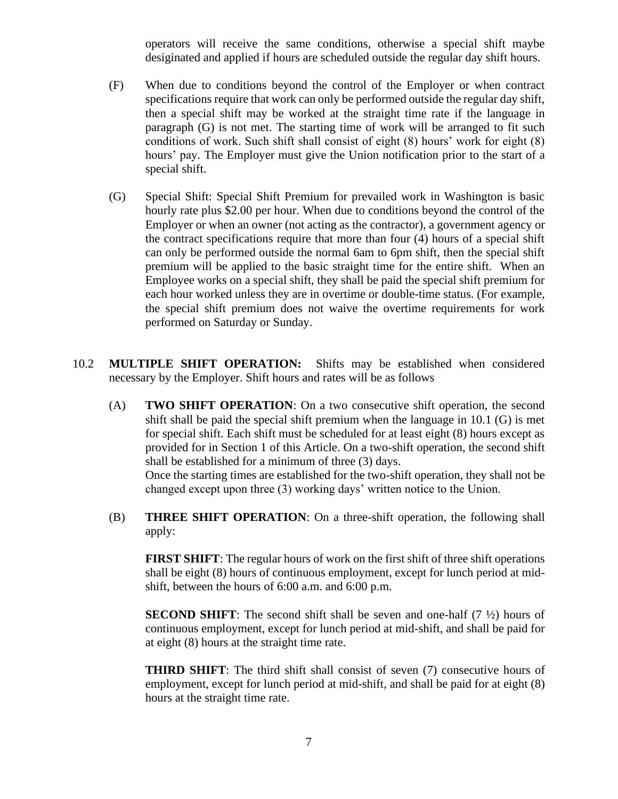operators will receive the same conditions, otherwise a special shift maybe desiginated and applied if hours are scheduled outside the regular day shift hours.

- (F) When due to conditions beyond the control of the Employer or when contract specifications require that work can only be performed outside the regular day shift, then a special shift may be worked at the straight time rate if the language in paragraph (G) is not met. The starting time of work will be arranged to fit such conditions of work. Such shift shall consist of eight (8) hours' work for eight (8) hours' pay. The Employer must give the Union notification prior to the start of a special shift.
- (G) Special Shift: Special Shift Premium for prevailed work in Washington is basic hourly rate plus \$2.00 per hour. When due to conditions beyond the control of the Employer or when an owner (not acting as the contractor), a government agency or the contract specifications require that more than four (4) hours of a special shift can only be performed outside the normal 6am to 6pm shift, then the special shift premium will be applied to the basic straight time for the entire shift. When an Employee works on a special shift, they shall be paid the special shift premium for each hour worked unless they are in overtime or double-time status. (For example, the special shift premium does not waive the overtime requirements for work performed on Saturday or Sunday.
- 10.2 **MULTIPLE SHIFT OPERATION:** Shifts may be established when considered necessary by the Employer. Shift hours and rates will be as follows
	- (A) **TWO SHIFT OPERATION**: On a two consecutive shift operation, the second shift shall be paid the special shift premium when the language in 10.1 (G) is met for special shift. Each shift must be scheduled for at least eight (8) hours except as provided for in Section 1 of this Article. On a two-shift operation, the second shift shall be established for a minimum of three (3) days.

Once the starting times are established for the two-shift operation, they shall not be changed except upon three (3) working days' written notice to the Union.

(B) **THREE SHIFT OPERATION**: On a three-shift operation, the following shall apply:

**FIRST SHIFT**: The regular hours of work on the first shift of three shift operations shall be eight (8) hours of continuous employment, except for lunch period at midshift, between the hours of 6:00 a.m. and 6:00 p.m.

**SECOND SHIFT**: The second shift shall be seven and one-half (7  $\frac{1}{2}$ ) hours of continuous employment, except for lunch period at mid-shift, and shall be paid for at eight (8) hours at the straight time rate.

**THIRD SHIFT**: The third shift shall consist of seven (7) consecutive hours of employment, except for lunch period at mid-shift, and shall be paid for at eight (8) hours at the straight time rate.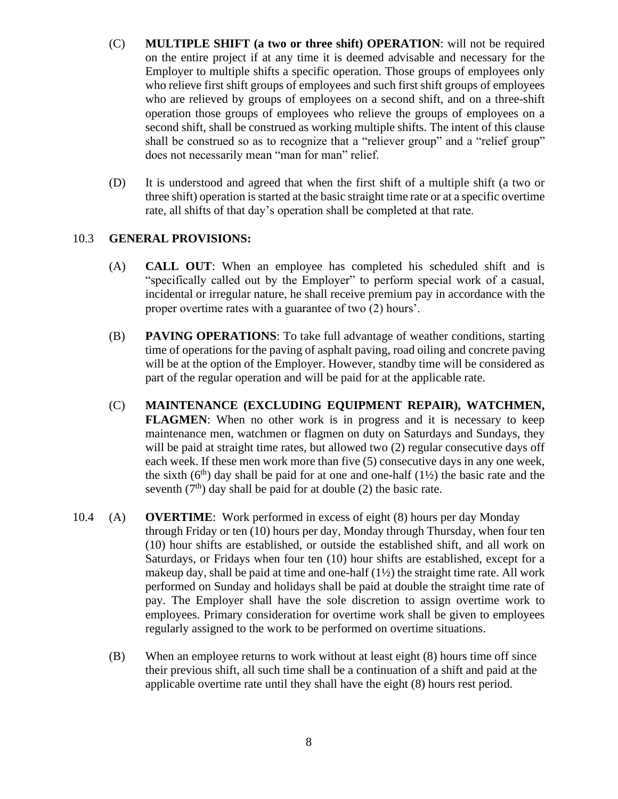- (C) **MULTIPLE SHIFT (a two or three shift) OPERATION**: will not be required on the entire project if at any time it is deemed advisable and necessary for the Employer to multiple shifts a specific operation. Those groups of employees only who relieve first shift groups of employees and such first shift groups of employees who are relieved by groups of employees on a second shift, and on a three-shift operation those groups of employees who relieve the groups of employees on a second shift, shall be construed as working multiple shifts. The intent of this clause shall be construed so as to recognize that a "reliever group" and a "relief group" does not necessarily mean "man for man" relief.
- (D) It is understood and agreed that when the first shift of a multiple shift (a two or three shift) operation is started at the basic straight time rate or at a specific overtime rate, all shifts of that day's operation shall be completed at that rate.

### 10.3 **GENERAL PROVISIONS:**

- (A) **CALL OUT**: When an employee has completed his scheduled shift and is "specifically called out by the Employer" to perform special work of a casual, incidental or irregular nature, he shall receive premium pay in accordance with the proper overtime rates with a guarantee of two (2) hours'.
- (B) **PAVING OPERATIONS**: To take full advantage of weather conditions, starting time of operations for the paving of asphalt paving, road oiling and concrete paving will be at the option of the Employer. However, standby time will be considered as part of the regular operation and will be paid for at the applicable rate.
- (C) **MAINTENANCE (EXCLUDING EQUIPMENT REPAIR), WATCHMEN, FLAGMEN**: When no other work is in progress and it is necessary to keep maintenance men, watchmen or flagmen on duty on Saturdays and Sundays, they will be paid at straight time rates, but allowed two (2) regular consecutive days off each week. If these men work more than five (5) consecutive days in any one week, the sixth  $(6<sup>th</sup>)$  day shall be paid for at one and one-half  $(1\frac{1}{2})$  the basic rate and the seventh  $(7<sup>th</sup>)$  day shall be paid for at double (2) the basic rate.
- 10.4 (A) **OVERTIME**: Work performed in excess of eight (8) hours per day Monday through Friday or ten (10) hours per day, Monday through Thursday, when four ten (10) hour shifts are established, or outside the established shift, and all work on Saturdays, or Fridays when four ten (10) hour shifts are established, except for a makeup day, shall be paid at time and one-half  $(1/2)$  the straight time rate. All work performed on Sunday and holidays shall be paid at double the straight time rate of pay. The Employer shall have the sole discretion to assign overtime work to employees. Primary consideration for overtime work shall be given to employees regularly assigned to the work to be performed on overtime situations.
	- (B) When an employee returns to work without at least eight (8) hours time off since their previous shift, all such time shall be a continuation of a shift and paid at the applicable overtime rate until they shall have the eight (8) hours rest period.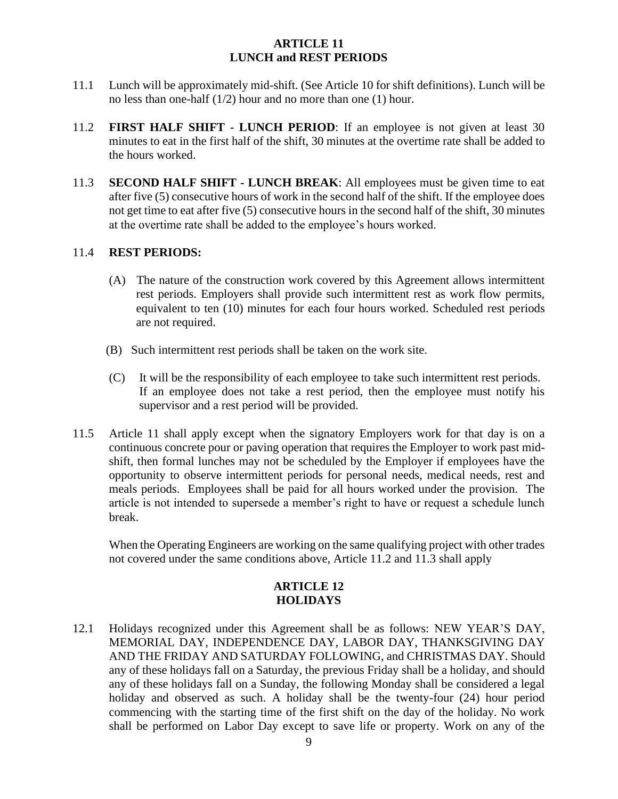# **ARTICLE 11 LUNCH and REST PERIODS**

- 11.1 Lunch will be approximately mid-shift. (See Article 10 for shift definitions). Lunch will be no less than one-half (1/2) hour and no more than one (1) hour.
- 11.2 **FIRST HALF SHIFT - LUNCH PERIOD**: If an employee is not given at least 30 minutes to eat in the first half of the shift, 30 minutes at the overtime rate shall be added to the hours worked.
- 11.3 **SECOND HALF SHIFT - LUNCH BREAK**: All employees must be given time to eat after five (5) consecutive hours of work in the second half of the shift. If the employee does not get time to eat after five (5) consecutive hours in the second half of the shift, 30 minutes at the overtime rate shall be added to the employee's hours worked.

# 11.4 **REST PERIODS:**

- (A) The nature of the construction work covered by this Agreement allows intermittent rest periods. Employers shall provide such intermittent rest as work flow permits, equivalent to ten (10) minutes for each four hours worked. Scheduled rest periods are not required.
- (B) Such intermittent rest periods shall be taken on the work site.
- (C) It will be the responsibility of each employee to take such intermittent rest periods. If an employee does not take a rest period, then the employee must notify his supervisor and a rest period will be provided.
- 11.5 Article 11 shall apply except when the signatory Employers work for that day is on a continuous concrete pour or paving operation that requires the Employer to work past midshift, then formal lunches may not be scheduled by the Employer if employees have the opportunity to observe intermittent periods for personal needs, medical needs, rest and meals periods. Employees shall be paid for all hours worked under the provision. The article is not intended to supersede a member's right to have or request a schedule lunch break.

When the Operating Engineers are working on the same qualifying project with other trades not covered under the same conditions above, Article 11.2 and 11.3 shall apply

## **ARTICLE 12 HOLIDAYS**

12.1 Holidays recognized under this Agreement shall be as follows: NEW YEAR'S DAY, MEMORIAL DAY, INDEPENDENCE DAY, LABOR DAY, THANKSGIVING DAY AND THE FRIDAY AND SATURDAY FOLLOWING, and CHRISTMAS DAY. Should any of these holidays fall on a Saturday, the previous Friday shall be a holiday, and should any of these holidays fall on a Sunday, the following Monday shall be considered a legal holiday and observed as such. A holiday shall be the twenty-four (24) hour period commencing with the starting time of the first shift on the day of the holiday. No work shall be performed on Labor Day except to save life or property. Work on any of the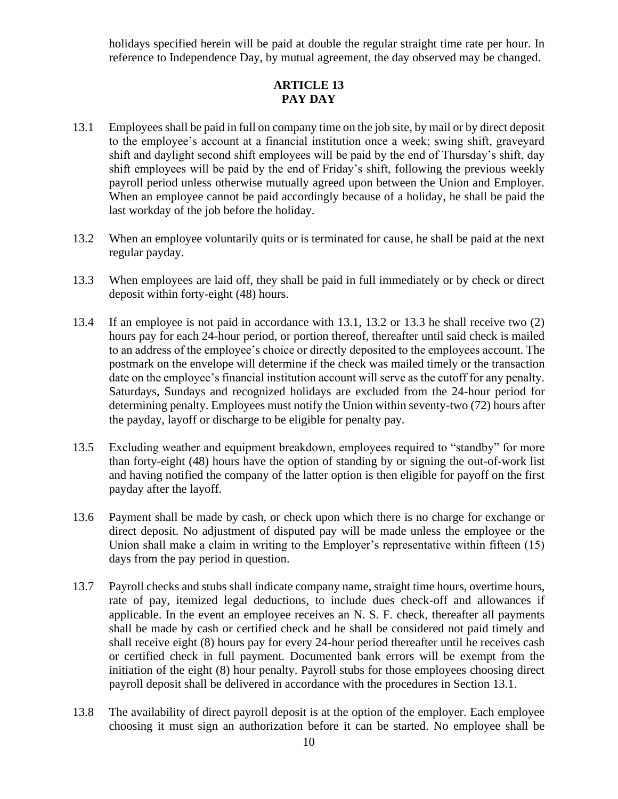holidays specified herein will be paid at double the regular straight time rate per hour. In reference to Independence Day, by mutual agreement, the day observed may be changed.

# **ARTICLE 13 PAY DAY**

- 13.1 Employees shall be paid in full on company time on the job site, by mail or by direct deposit to the employee's account at a financial institution once a week; swing shift, graveyard shift and daylight second shift employees will be paid by the end of Thursday's shift, day shift employees will be paid by the end of Friday's shift, following the previous weekly payroll period unless otherwise mutually agreed upon between the Union and Employer. When an employee cannot be paid accordingly because of a holiday, he shall be paid the last workday of the job before the holiday.
- 13.2 When an employee voluntarily quits or is terminated for cause, he shall be paid at the next regular payday.
- 13.3 When employees are laid off, they shall be paid in full immediately or by check or direct deposit within forty-eight (48) hours.
- 13.4 If an employee is not paid in accordance with 13.1, 13.2 or 13.3 he shall receive two (2) hours pay for each 24-hour period, or portion thereof, thereafter until said check is mailed to an address of the employee's choice or directly deposited to the employees account. The postmark on the envelope will determine if the check was mailed timely or the transaction date on the employee's financial institution account will serve as the cutoff for any penalty. Saturdays, Sundays and recognized holidays are excluded from the 24-hour period for determining penalty. Employees must notify the Union within seventy-two (72) hours after the payday, layoff or discharge to be eligible for penalty pay.
- 13.5 Excluding weather and equipment breakdown, employees required to "standby" for more than forty-eight (48) hours have the option of standing by or signing the out-of-work list and having notified the company of the latter option is then eligible for payoff on the first payday after the layoff.
- 13.6 Payment shall be made by cash, or check upon which there is no charge for exchange or direct deposit. No adjustment of disputed pay will be made unless the employee or the Union shall make a claim in writing to the Employer's representative within fifteen (15) days from the pay period in question.
- 13.7 Payroll checks and stubs shall indicate company name, straight time hours, overtime hours, rate of pay, itemized legal deductions, to include dues check-off and allowances if applicable. In the event an employee receives an N. S. F. check, thereafter all payments shall be made by cash or certified check and he shall be considered not paid timely and shall receive eight (8) hours pay for every 24-hour period thereafter until he receives cash or certified check in full payment. Documented bank errors will be exempt from the initiation of the eight (8) hour penalty. Payroll stubs for those employees choosing direct payroll deposit shall be delivered in accordance with the procedures in Section 13.1.
- 13.8 The availability of direct payroll deposit is at the option of the employer. Each employee choosing it must sign an authorization before it can be started. No employee shall be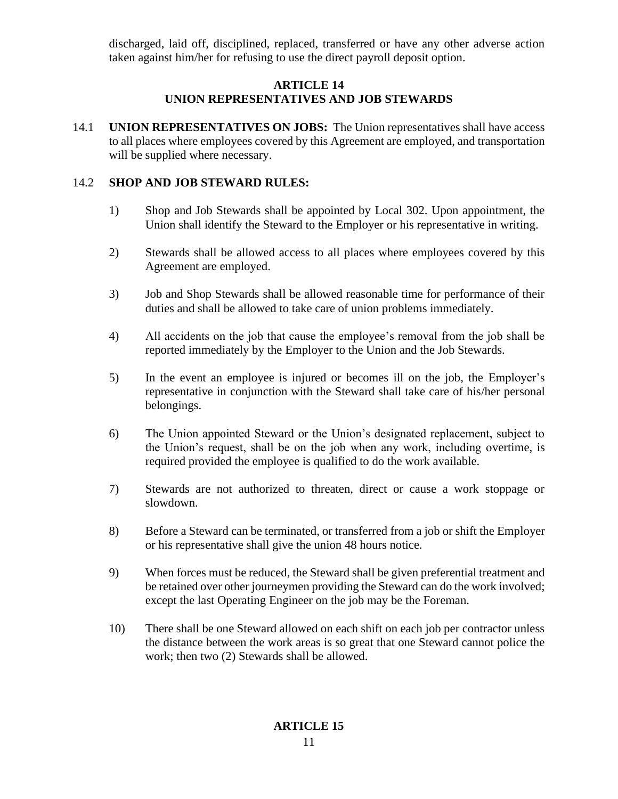discharged, laid off, disciplined, replaced, transferred or have any other adverse action taken against him/her for refusing to use the direct payroll deposit option.

# **ARTICLE 14 UNION REPRESENTATIVES AND JOB STEWARDS**

14.1 **UNION REPRESENTATIVES ON JOBS:** The Union representatives shall have access to all places where employees covered by this Agreement are employed, and transportation will be supplied where necessary.

# 14.2 **SHOP AND JOB STEWARD RULES:**

- 1) Shop and Job Stewards shall be appointed by Local 302. Upon appointment, the Union shall identify the Steward to the Employer or his representative in writing.
- 2) Stewards shall be allowed access to all places where employees covered by this Agreement are employed.
- 3) Job and Shop Stewards shall be allowed reasonable time for performance of their duties and shall be allowed to take care of union problems immediately.
- 4) All accidents on the job that cause the employee's removal from the job shall be reported immediately by the Employer to the Union and the Job Stewards.
- 5) In the event an employee is injured or becomes ill on the job, the Employer's representative in conjunction with the Steward shall take care of his/her personal belongings.
- 6) The Union appointed Steward or the Union's designated replacement, subject to the Union's request, shall be on the job when any work, including overtime, is required provided the employee is qualified to do the work available.
- 7) Stewards are not authorized to threaten, direct or cause a work stoppage or slowdown.
- 8) Before a Steward can be terminated, or transferred from a job or shift the Employer or his representative shall give the union 48 hours notice.
- 9) When forces must be reduced, the Steward shall be given preferential treatment and be retained over other journeymen providing the Steward can do the work involved; except the last Operating Engineer on the job may be the Foreman.
- 10) There shall be one Steward allowed on each shift on each job per contractor unless the distance between the work areas is so great that one Steward cannot police the work; then two (2) Stewards shall be allowed.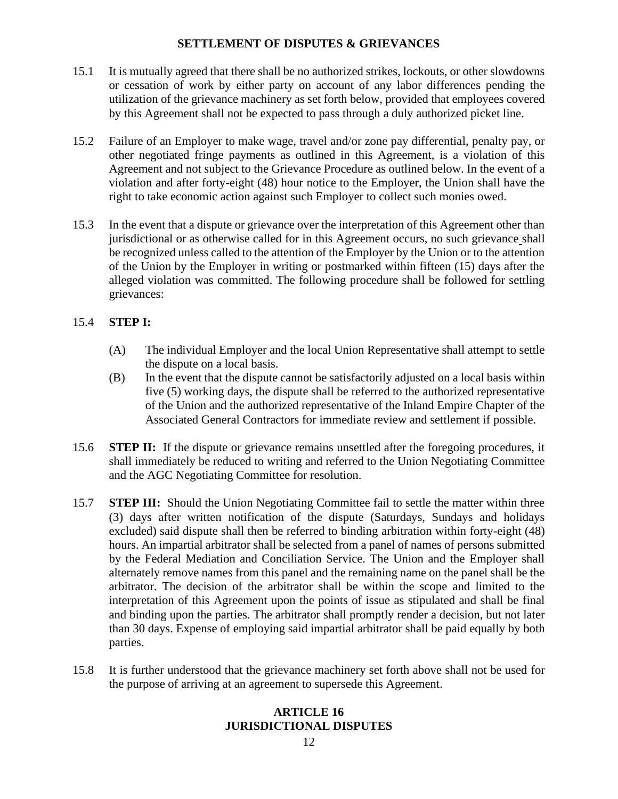# **SETTLEMENT OF DISPUTES & GRIEVANCES**

- 15.1 It is mutually agreed that there shall be no authorized strikes, lockouts, or other slowdowns or cessation of work by either party on account of any labor differences pending the utilization of the grievance machinery as set forth below, provided that employees covered by this Agreement shall not be expected to pass through a duly authorized picket line.
- 15.2 Failure of an Employer to make wage, travel and/or zone pay differential, penalty pay, or other negotiated fringe payments as outlined in this Agreement, is a violation of this Agreement and not subject to the Grievance Procedure as outlined below. In the event of a violation and after forty-eight (48) hour notice to the Employer, the Union shall have the right to take economic action against such Employer to collect such monies owed.
- 15.3 In the event that a dispute or grievance over the interpretation of this Agreement other than jurisdictional or as otherwise called for in this Agreement occurs, no such grievance shall be recognized unless called to the attention of the Employer by the Union or to the attention of the Union by the Employer in writing or postmarked within fifteen (15) days after the alleged violation was committed. The following procedure shall be followed for settling grievances:

# 15.4 **STEP I:**

- (A) The individual Employer and the local Union Representative shall attempt to settle the dispute on a local basis.
- (B) In the event that the dispute cannot be satisfactorily adjusted on a local basis within five (5) working days, the dispute shall be referred to the authorized representative of the Union and the authorized representative of the Inland Empire Chapter of the Associated General Contractors for immediate review and settlement if possible.
- 15.6 **STEP II:** If the dispute or grievance remains unsettled after the foregoing procedures, it shall immediately be reduced to writing and referred to the Union Negotiating Committee and the AGC Negotiating Committee for resolution.
- 15.7 **STEP III:** Should the Union Negotiating Committee fail to settle the matter within three (3) days after written notification of the dispute (Saturdays, Sundays and holidays excluded) said dispute shall then be referred to binding arbitration within forty-eight (48) hours. An impartial arbitrator shall be selected from a panel of names of persons submitted by the Federal Mediation and Conciliation Service. The Union and the Employer shall alternately remove names from this panel and the remaining name on the panel shall be the arbitrator. The decision of the arbitrator shall be within the scope and limited to the interpretation of this Agreement upon the points of issue as stipulated and shall be final and binding upon the parties. The arbitrator shall promptly render a decision, but not later than 30 days. Expense of employing said impartial arbitrator shall be paid equally by both parties.
- 15.8 It is further understood that the grievance machinery set forth above shall not be used for the purpose of arriving at an agreement to supersede this Agreement.

# **ARTICLE 16 JURISDICTIONAL DISPUTES**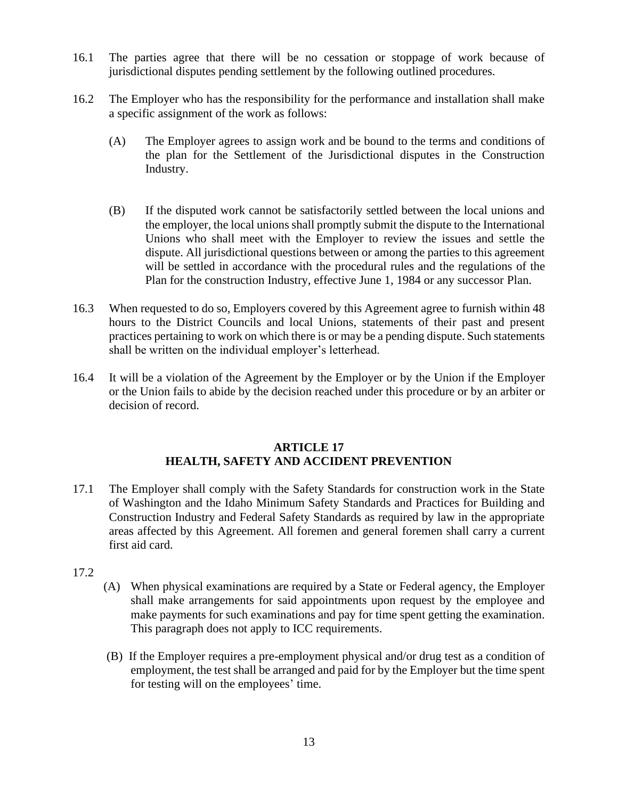- 16.1 The parties agree that there will be no cessation or stoppage of work because of jurisdictional disputes pending settlement by the following outlined procedures.
- 16.2 The Employer who has the responsibility for the performance and installation shall make a specific assignment of the work as follows:
	- (A) The Employer agrees to assign work and be bound to the terms and conditions of the plan for the Settlement of the Jurisdictional disputes in the Construction Industry.
	- (B) If the disputed work cannot be satisfactorily settled between the local unions and the employer, the local unions shall promptly submit the dispute to the International Unions who shall meet with the Employer to review the issues and settle the dispute. All jurisdictional questions between or among the parties to this agreement will be settled in accordance with the procedural rules and the regulations of the Plan for the construction Industry, effective June 1, 1984 or any successor Plan.
- 16.3 When requested to do so, Employers covered by this Agreement agree to furnish within 48 hours to the District Councils and local Unions, statements of their past and present practices pertaining to work on which there is or may be a pending dispute. Such statements shall be written on the individual employer's letterhead.
- 16.4 It will be a violation of the Agreement by the Employer or by the Union if the Employer or the Union fails to abide by the decision reached under this procedure or by an arbiter or decision of record.

### **ARTICLE 17 HEALTH, SAFETY AND ACCIDENT PREVENTION**

- 17.1 The Employer shall comply with the Safety Standards for construction work in the State of Washington and the Idaho Minimum Safety Standards and Practices for Building and Construction Industry and Federal Safety Standards as required by law in the appropriate areas affected by this Agreement. All foremen and general foremen shall carry a current first aid card.
- 17.2
- (A) When physical examinations are required by a State or Federal agency, the Employer shall make arrangements for said appointments upon request by the employee and make payments for such examinations and pay for time spent getting the examination. This paragraph does not apply to ICC requirements.
- (B) If the Employer requires a pre-employment physical and/or drug test as a condition of employment, the test shall be arranged and paid for by the Employer but the time spent for testing will on the employees' time.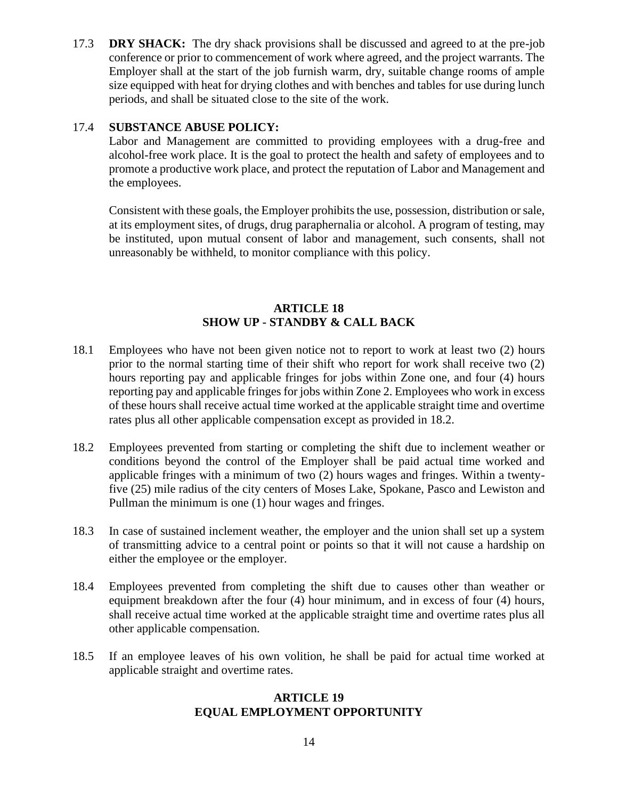17.3 **DRY SHACK:** The dry shack provisions shall be discussed and agreed to at the pre-job conference or prior to commencement of work where agreed, and the project warrants. The Employer shall at the start of the job furnish warm, dry, suitable change rooms of ample size equipped with heat for drying clothes and with benches and tables for use during lunch periods, and shall be situated close to the site of the work.

# 17.4 **SUBSTANCE ABUSE POLICY:**

Labor and Management are committed to providing employees with a drug-free and alcohol-free work place. It is the goal to protect the health and safety of employees and to promote a productive work place, and protect the reputation of Labor and Management and the employees.

Consistent with these goals, the Employer prohibits the use, possession, distribution or sale, at its employment sites, of drugs, drug paraphernalia or alcohol. A program of testing, may be instituted, upon mutual consent of labor and management, such consents, shall not unreasonably be withheld, to monitor compliance with this policy.

# **ARTICLE 18 SHOW UP - STANDBY & CALL BACK**

- 18.1 Employees who have not been given notice not to report to work at least two (2) hours prior to the normal starting time of their shift who report for work shall receive two (2) hours reporting pay and applicable fringes for jobs within Zone one, and four (4) hours reporting pay and applicable fringes for jobs within Zone 2. Employees who work in excess of these hours shall receive actual time worked at the applicable straight time and overtime rates plus all other applicable compensation except as provided in 18.2.
- 18.2 Employees prevented from starting or completing the shift due to inclement weather or conditions beyond the control of the Employer shall be paid actual time worked and applicable fringes with a minimum of two (2) hours wages and fringes. Within a twentyfive (25) mile radius of the city centers of Moses Lake, Spokane, Pasco and Lewiston and Pullman the minimum is one (1) hour wages and fringes.
- 18.3 In case of sustained inclement weather, the employer and the union shall set up a system of transmitting advice to a central point or points so that it will not cause a hardship on either the employee or the employer.
- 18.4 Employees prevented from completing the shift due to causes other than weather or equipment breakdown after the four (4) hour minimum, and in excess of four (4) hours, shall receive actual time worked at the applicable straight time and overtime rates plus all other applicable compensation.
- 18.5 If an employee leaves of his own volition, he shall be paid for actual time worked at applicable straight and overtime rates.

### **ARTICLE 19 EQUAL EMPLOYMENT OPPORTUNITY**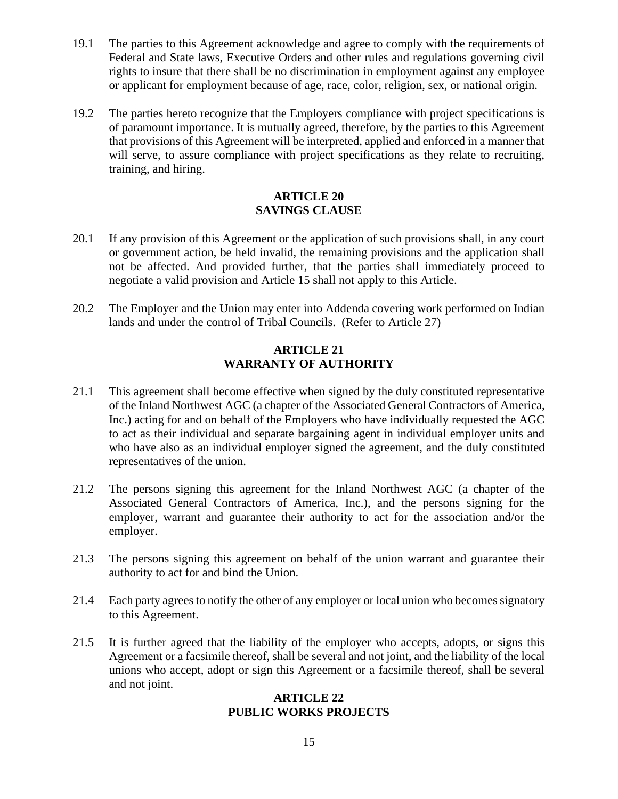- 19.1 The parties to this Agreement acknowledge and agree to comply with the requirements of Federal and State laws, Executive Orders and other rules and regulations governing civil rights to insure that there shall be no discrimination in employment against any employee or applicant for employment because of age, race, color, religion, sex, or national origin.
- 19.2 The parties hereto recognize that the Employers compliance with project specifications is of paramount importance. It is mutually agreed, therefore, by the parties to this Agreement that provisions of this Agreement will be interpreted, applied and enforced in a manner that will serve, to assure compliance with project specifications as they relate to recruiting, training, and hiring.

# **ARTICLE 20 SAVINGS CLAUSE**

- 20.1 If any provision of this Agreement or the application of such provisions shall, in any court or government action, be held invalid, the remaining provisions and the application shall not be affected. And provided further, that the parties shall immediately proceed to negotiate a valid provision and Article 15 shall not apply to this Article.
- 20.2 The Employer and the Union may enter into Addenda covering work performed on Indian lands and under the control of Tribal Councils. (Refer to Article 27)

## **ARTICLE 21 WARRANTY OF AUTHORITY**

- 21.1 This agreement shall become effective when signed by the duly constituted representative of the Inland Northwest AGC (a chapter of the Associated General Contractors of America, Inc.) acting for and on behalf of the Employers who have individually requested the AGC to act as their individual and separate bargaining agent in individual employer units and who have also as an individual employer signed the agreement, and the duly constituted representatives of the union.
- 21.2 The persons signing this agreement for the Inland Northwest AGC (a chapter of the Associated General Contractors of America, Inc.), and the persons signing for the employer, warrant and guarantee their authority to act for the association and/or the employer.
- 21.3 The persons signing this agreement on behalf of the union warrant and guarantee their authority to act for and bind the Union.
- 21.4 Each party agrees to notify the other of any employer or local union who becomes signatory to this Agreement.
- 21.5 It is further agreed that the liability of the employer who accepts, adopts, or signs this Agreement or a facsimile thereof, shall be several and not joint, and the liability of the local unions who accept, adopt or sign this Agreement or a facsimile thereof, shall be several and not joint.

### **ARTICLE 22 PUBLIC WORKS PROJECTS**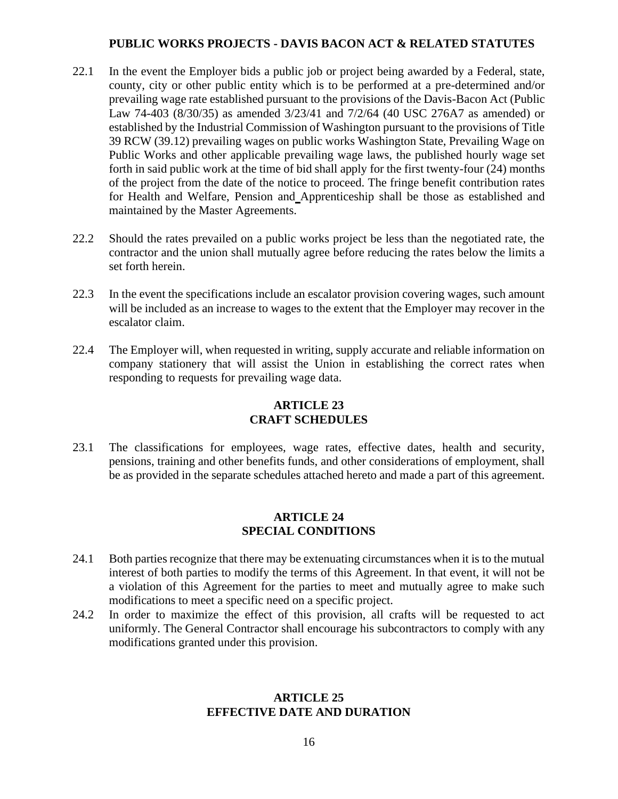## **PUBLIC WORKS PROJECTS - DAVIS BACON ACT & RELATED STATUTES**

- 22.1 In the event the Employer bids a public job or project being awarded by a Federal, state, county, city or other public entity which is to be performed at a pre-determined and/or prevailing wage rate established pursuant to the provisions of the Davis-Bacon Act (Public Law 74-403 (8/30/35) as amended 3/23/41 and 7/2/64 (40 USC 276A7 as amended) or established by the Industrial Commission of Washington pursuant to the provisions of Title 39 RCW (39.12) prevailing wages on public works Washington State, Prevailing Wage on Public Works and other applicable prevailing wage laws, the published hourly wage set forth in said public work at the time of bid shall apply for the first twenty-four (24) months of the project from the date of the notice to proceed. The fringe benefit contribution rates for Health and Welfare, Pension and Apprenticeship shall be those as established and maintained by the Master Agreements.
- 22.2 Should the rates prevailed on a public works project be less than the negotiated rate, the contractor and the union shall mutually agree before reducing the rates below the limits a set forth herein.
- 22.3 In the event the specifications include an escalator provision covering wages, such amount will be included as an increase to wages to the extent that the Employer may recover in the escalator claim.
- 22.4 The Employer will, when requested in writing, supply accurate and reliable information on company stationery that will assist the Union in establishing the correct rates when responding to requests for prevailing wage data.

# **ARTICLE 23 CRAFT SCHEDULES**

23.1 The classifications for employees, wage rates, effective dates, health and security, pensions, training and other benefits funds, and other considerations of employment, shall be as provided in the separate schedules attached hereto and made a part of this agreement.

### **ARTICLE 24 SPECIAL CONDITIONS**

- 24.1 Both parties recognize that there may be extenuating circumstances when it is to the mutual interest of both parties to modify the terms of this Agreement. In that event, it will not be a violation of this Agreement for the parties to meet and mutually agree to make such modifications to meet a specific need on a specific project.
- 24.2 In order to maximize the effect of this provision, all crafts will be requested to act uniformly. The General Contractor shall encourage his subcontractors to comply with any modifications granted under this provision.

#### **ARTICLE 25 EFFECTIVE DATE AND DURATION**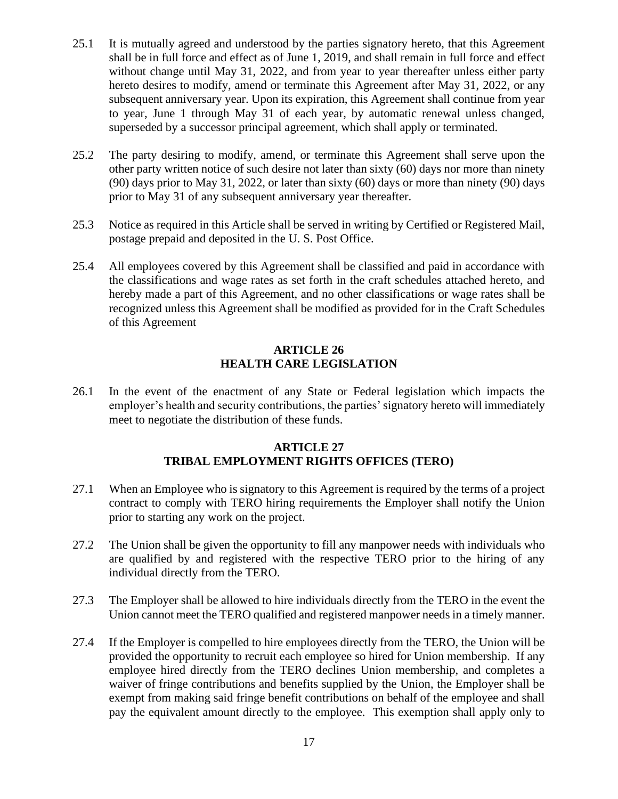- 25.1 It is mutually agreed and understood by the parties signatory hereto, that this Agreement shall be in full force and effect as of June 1, 2019, and shall remain in full force and effect without change until May 31, 2022, and from year to year thereafter unless either party hereto desires to modify, amend or terminate this Agreement after May 31, 2022, or any subsequent anniversary year. Upon its expiration, this Agreement shall continue from year to year, June 1 through May 31 of each year, by automatic renewal unless changed, superseded by a successor principal agreement, which shall apply or terminated.
- 25.2 The party desiring to modify, amend, or terminate this Agreement shall serve upon the other party written notice of such desire not later than sixty (60) days nor more than ninety (90) days prior to May 31, 2022, or later than sixty (60) days or more than ninety (90) days prior to May 31 of any subsequent anniversary year thereafter.
- 25.3 Notice as required in this Article shall be served in writing by Certified or Registered Mail, postage prepaid and deposited in the U. S. Post Office.
- 25.4 All employees covered by this Agreement shall be classified and paid in accordance with the classifications and wage rates as set forth in the craft schedules attached hereto, and hereby made a part of this Agreement, and no other classifications or wage rates shall be recognized unless this Agreement shall be modified as provided for in the Craft Schedules of this Agreement

## **ARTICLE 26 HEALTH CARE LEGISLATION**

26.1 In the event of the enactment of any State or Federal legislation which impacts the employer's health and security contributions, the parties' signatory hereto will immediately meet to negotiate the distribution of these funds.

## **ARTICLE 27 TRIBAL EMPLOYMENT RIGHTS OFFICES (TERO)**

- 27.1 When an Employee who is signatory to this Agreement is required by the terms of a project contract to comply with TERO hiring requirements the Employer shall notify the Union prior to starting any work on the project.
- 27.2 The Union shall be given the opportunity to fill any manpower needs with individuals who are qualified by and registered with the respective TERO prior to the hiring of any individual directly from the TERO.
- 27.3 The Employer shall be allowed to hire individuals directly from the TERO in the event the Union cannot meet the TERO qualified and registered manpower needs in a timely manner.
- 27.4 If the Employer is compelled to hire employees directly from the TERO, the Union will be provided the opportunity to recruit each employee so hired for Union membership. If any employee hired directly from the TERO declines Union membership, and completes a waiver of fringe contributions and benefits supplied by the Union, the Employer shall be exempt from making said fringe benefit contributions on behalf of the employee and shall pay the equivalent amount directly to the employee. This exemption shall apply only to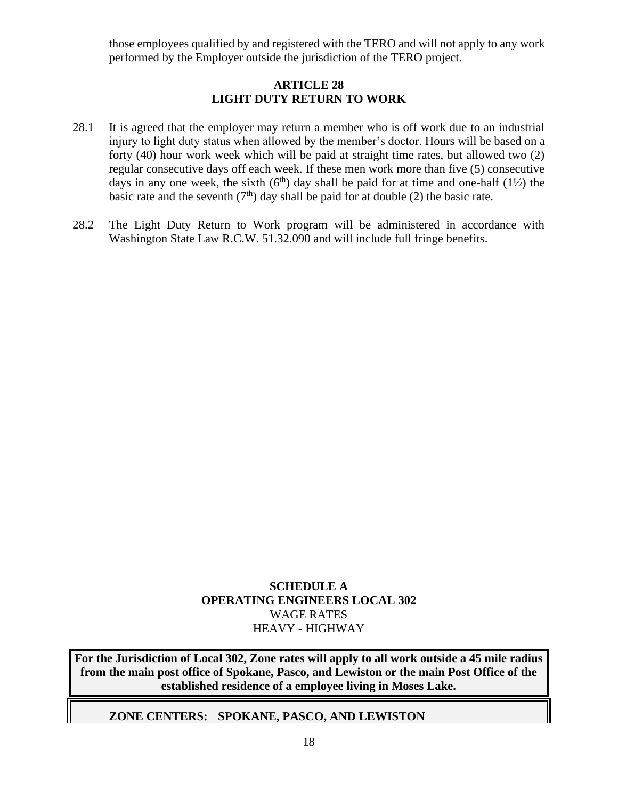those employees qualified by and registered with the TERO and will not apply to any work performed by the Employer outside the jurisdiction of the TERO project.

# **ARTICLE 28 LIGHT DUTY RETURN TO WORK**

- 28.1 It is agreed that the employer may return a member who is off work due to an industrial injury to light duty status when allowed by the member's doctor. Hours will be based on a forty (40) hour work week which will be paid at straight time rates, but allowed two (2) regular consecutive days off each week. If these men work more than five (5) consecutive days in any one week, the sixth  $(6<sup>th</sup>)$  day shall be paid for at time and one-half  $(1\frac{1}{2})$  the basic rate and the seventh  $(7<sup>th</sup>)$  day shall be paid for at double (2) the basic rate.
- 28.2 The Light Duty Return to Work program will be administered in accordance with Washington State Law R.C.W. 51.32.090 and will include full fringe benefits.

# **SCHEDULE A OPERATING ENGINEERS LOCAL 302** WAGE RATES HEAVY - HIGHWAY

**For the Jurisdiction of Local 302, Zone rates will apply to all work outside a 45 mile radius from the main post office of Spokane, Pasco, and Lewiston or the main Post Office of the established residence of a employee living in Moses Lake.**

**ZONE CENTERS: SPOKANE, PASCO, AND LEWISTON**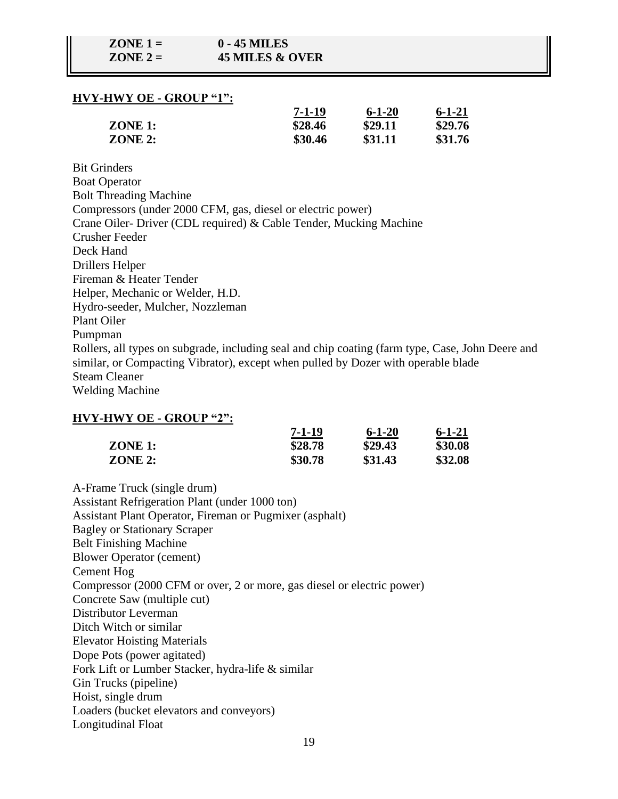### **HVY-HWY OE - GROUP "1":**

|                | 7-1-19  | $6 - 1 - 20$ | $6 - 1 - 21$ |
|----------------|---------|--------------|--------------|
| <b>ZONE 1:</b> | \$28.46 | \$29.11      | \$29.76      |
| ZONE 2:        | \$30.46 | \$31.11      | \$31.76      |

Bit Grinders Boat Operator Bolt Threading Machine Compressors (under 2000 CFM, gas, diesel or electric power) Crane Oiler- Driver (CDL required) & Cable Tender, Mucking Machine Crusher Feeder Deck Hand Drillers Helper Fireman & Heater Tender Helper, Mechanic or Welder, H.D. Hydro-seeder, Mulcher, Nozzleman Plant Oiler Pumpman Rollers, all types on subgrade, including seal and chip coating (farm type, Case, John Deere and similar, or Compacting Vibrator), except when pulled by Dozer with operable blade Steam Cleaner Welding Machine

#### **HVY-HWY OE - GROUP "2":**

|           | 7-1-19  | $6 - 1 - 20$ | $6 - 1 - 21$ |
|-----------|---------|--------------|--------------|
| $ZONE$ 1: | \$28.78 | \$29.43      | \$30.08      |
| ZONE 2:   | \$30.78 | \$31.43      | \$32.08      |

A-Frame Truck (single drum) Assistant Refrigeration Plant (under 1000 ton) Assistant Plant Operator, Fireman or Pugmixer (asphalt) Bagley or Stationary Scraper Belt Finishing Machine Blower Operator (cement) Cement Hog Compressor (2000 CFM or over, 2 or more, gas diesel or electric power) Concrete Saw (multiple cut) Distributor Leverman Ditch Witch or similar Elevator Hoisting Materials Dope Pots (power agitated) Fork Lift or Lumber Stacker, hydra-life & similar Gin Trucks (pipeline) Hoist, single drum Loaders (bucket elevators and conveyors) Longitudinal Float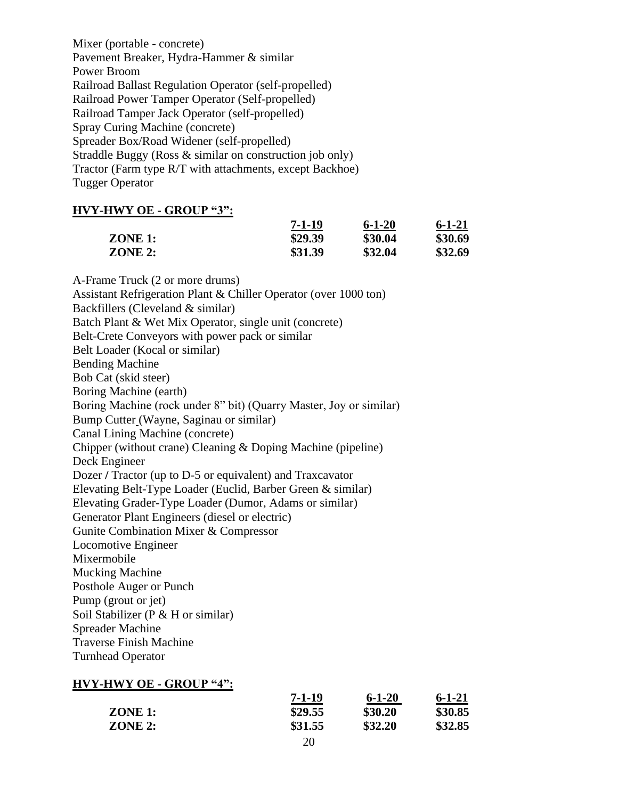Mixer (portable - concrete) Pavement Breaker, Hydra-Hammer & similar Power Broom Railroad Ballast Regulation Operator (self-propelled) Railroad Power Tamper Operator (Self-propelled) Railroad Tamper Jack Operator (self-propelled) Spray Curing Machine (concrete) Spreader Box/Road Widener (self-propelled) Straddle Buggy (Ross & similar on construction job only) Tractor (Farm type R/T with attachments, except Backhoe) Tugger Operator

### **HVY-HWY OE - GROUP "3":**

|                | $7 - 1 - 19$ | $6 - 1 - 20$ | $6 - 1 - 21$ |
|----------------|--------------|--------------|--------------|
| $ZONE$ 1:      | \$29.39      | \$30.04      | \$30.69      |
| <b>ZONE 2:</b> | \$31.39      | \$32.04      | \$32.69      |

A-Frame Truck (2 or more drums) Assistant Refrigeration Plant & Chiller Operator (over 1000 ton) Backfillers (Cleveland & similar) Batch Plant & Wet Mix Operator, single unit (concrete) Belt-Crete Conveyors with power pack or similar Belt Loader (Kocal or similar) Bending Machine Bob Cat (skid steer) Boring Machine (earth) Boring Machine (rock under 8" bit) (Quarry Master, Joy or similar) Bump Cutter (Wayne, Saginau or similar) Canal Lining Machine (concrete) Chipper (without crane) Cleaning & Doping Machine (pipeline) Deck Engineer Dozer **/** Tractor (up to D-5 or equivalent) and Traxcavator Elevating Belt-Type Loader (Euclid, Barber Green & similar) Elevating Grader-Type Loader (Dumor, Adams or similar) Generator Plant Engineers (diesel or electric) Gunite Combination Mixer & Compressor Locomotive Engineer Mixermobile Mucking Machine Posthole Auger or Punch Pump (grout or jet) Soil Stabilizer (P & H or similar) Spreader Machine Traverse Finish Machine Turnhead Operator

#### **HVY-HWY OE - GROUP "4":**

|         | $7 - 1 - 19$  | $6 - 1 - 20$ | $6 - 1 - 21$ |
|---------|---------------|--------------|--------------|
| ZONE 1: | \$29.55       | \$30.20      | \$30.85      |
| ZONE 2: | \$31.55       | \$32.20      | \$32.85      |
|         | $\sim$ $\sim$ |              |              |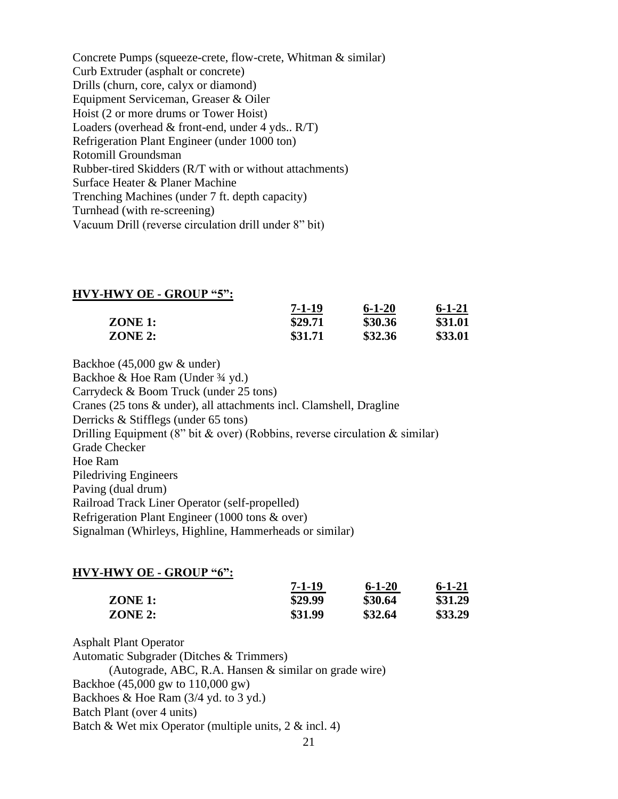Concrete Pumps (squeeze-crete, flow-crete, Whitman & similar) Curb Extruder (asphalt or concrete) Drills (churn, core, calyx or diamond) Equipment Serviceman, Greaser & Oiler Hoist (2 or more drums or Tower Hoist) Loaders (overhead  $&$  front-end, under 4 yds..  $R/T$ ) Refrigeration Plant Engineer (under 1000 ton) Rotomill Groundsman Rubber-tired Skidders (R/T with or without attachments) Surface Heater & Planer Machine Trenching Machines (under 7 ft. depth capacity) Turnhead (with re-screening) Vacuum Drill (reverse circulation drill under 8" bit)

#### **HVY-HWY OE - GROUP "5":**

|           | $7 - 1 - 19$ | $6 - 1 - 20$ | $6 - 1 - 21$ |
|-----------|--------------|--------------|--------------|
| $ZONE$ 1: | \$29.71      | \$30.36      | \$31.01      |
| ZONE 2:   | \$31.71      | \$32.36      | \$33.01      |

Backhoe (45,000 gw & under) Backhoe & Hoe Ram (Under 3/4 yd.) Carrydeck & Boom Truck (under 25 tons) Cranes (25 tons & under), all attachments incl. Clamshell, Dragline Derricks & Stifflegs (under 65 tons) Drilling Equipment (8" bit  $\&$  over) (Robbins, reverse circulation  $\&$  similar) Grade Checker Hoe Ram Piledriving Engineers Paving (dual drum) Railroad Track Liner Operator (self-propelled) Refrigeration Plant Engineer (1000 tons & over) Signalman (Whirleys, Highline, Hammerheads or similar)

#### **HVY-HWY OE - GROUP "6":**

|           | $7 - 1 - 19$ | $6 - 1 - 20$ | $6 - 1 - 21$ |
|-----------|--------------|--------------|--------------|
| $ZONE$ 1: | \$29.99      | \$30.64      | \$31.29      |
| ZONE 2:   | \$31.99      | \$32.64      | \$33.29      |

Asphalt Plant Operator

Automatic Subgrader (Ditches & Trimmers)

(Autograde, ABC, R.A. Hansen & similar on grade wire)

Backhoe (45,000 gw to 110,000 gw)

Backhoes & Hoe Ram (3/4 yd. to 3 yd.)

Batch Plant (over 4 units)

Batch & Wet mix Operator (multiple units, 2 & incl. 4)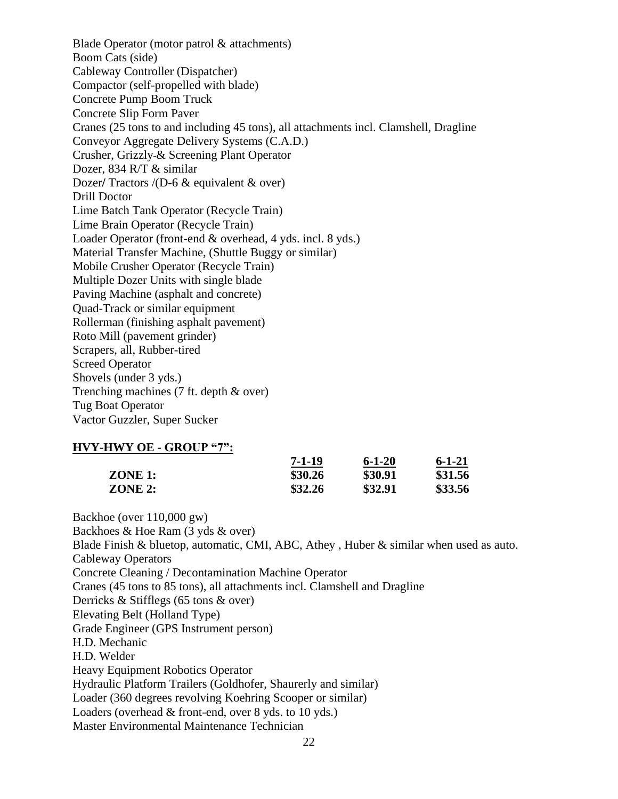Blade Operator (motor patrol & attachments) Boom Cats (side) Cableway Controller (Dispatcher) Compactor (self-propelled with blade) Concrete Pump Boom Truck Concrete Slip Form Paver Cranes (25 tons to and including 45 tons), all attachments incl. Clamshell, Dragline Conveyor Aggregate Delivery Systems (C.A.D.) Crusher, Grizzly & Screening Plant Operator Dozer, 834 R/T & similar Dozer**/** Tractors /(D-6 & equivalent & over) Drill Doctor Lime Batch Tank Operator (Recycle Train) Lime Brain Operator (Recycle Train) Loader Operator (front-end & overhead, 4 yds. incl. 8 yds.) Material Transfer Machine, (Shuttle Buggy or similar) Mobile Crusher Operator (Recycle Train) Multiple Dozer Units with single blade Paving Machine (asphalt and concrete) Quad-Track or similar equipment Rollerman (finishing asphalt pavement) Roto Mill (pavement grinder) Scrapers, all, Rubber-tired Screed Operator Shovels (under 3 yds.) Trenching machines (7 ft. depth & over) Tug Boat Operator Vactor Guzzler, Super Sucker

#### **HVY-HWY OE - GROUP "7":**

|         | $7 - 1 - 19$ | $6 - 1 - 20$ | $6 - 1 - 21$ |
|---------|--------------|--------------|--------------|
| ZONE 1: | \$30.26      | \$30.91      | \$31.56      |
| ZONE 2: | \$32.26      | \$32.91      | \$33.56      |

Backhoe (over 110,000 gw) Backhoes & Hoe Ram (3 yds & over) Blade Finish & bluetop, automatic, CMI, ABC, Athey , Huber & similar when used as auto. Cableway Operators Concrete Cleaning / Decontamination Machine Operator Cranes (45 tons to 85 tons), all attachments incl. Clamshell and Dragline Derricks & Stifflegs (65 tons & over) Elevating Belt (Holland Type) Grade Engineer (GPS Instrument person) H.D. Mechanic H.D. Welder Heavy Equipment Robotics Operator Hydraulic Platform Trailers (Goldhofer, Shaurerly and similar) Loader (360 degrees revolving Koehring Scooper or similar) Loaders (overhead & front-end, over 8 yds. to 10 yds.) Master Environmental Maintenance Technician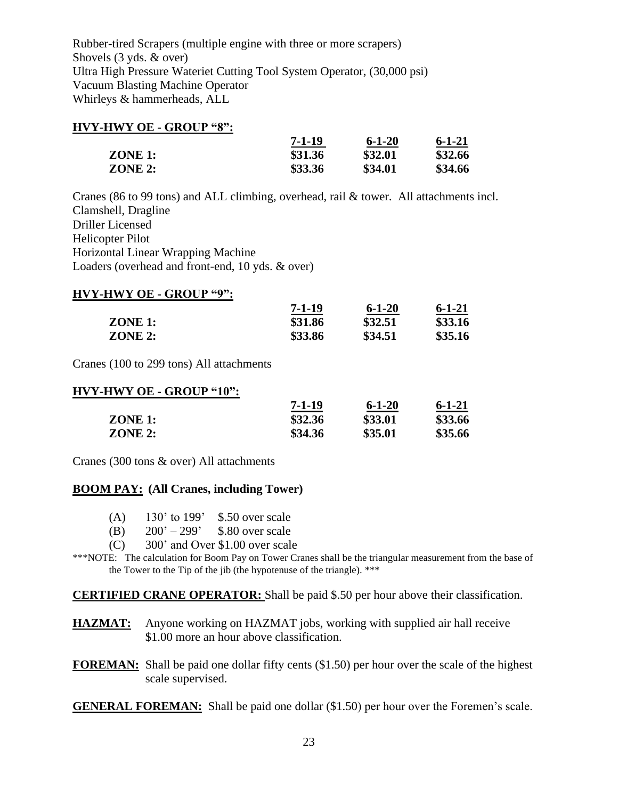Rubber-tired Scrapers (multiple engine with three or more scrapers) Shovels (3 yds. & over) Ultra High Pressure Wateriet Cutting Tool System Operator, (30,000 psi) Vacuum Blasting Machine Operator Whirleys & hammerheads, ALL

#### **HVY-HWY OE - GROUP "8":**

|           | 7-1-19  | $6 - 1 - 20$ | $6 - 1 - 21$ |
|-----------|---------|--------------|--------------|
| $ZONE$ 1: | \$31.36 | \$32.01      | \$32.66      |
| ZONE 2:   | \$33.36 | \$34.01      | \$34.66      |

Cranes (86 to 99 tons) and ALL climbing, overhead, rail & tower. All attachments incl. Clamshell, Dragline Driller Licensed Helicopter Pilot Horizontal Linear Wrapping Machine Loaders (overhead and front-end, 10 yds. & over)

### **HVY-HWY OE - GROUP "9":**

|           | $7 - 1 - 19$ | $6 - 1 - 20$ | $6 - 1 - 21$ |
|-----------|--------------|--------------|--------------|
| $ZONE$ 1: | \$31.86      | \$32.51      | \$33.16      |
| ZONE 2:   | \$33.86      | \$34.51      | \$35.16      |

Cranes (100 to 299 tons) All attachments

#### **HVY-HWY OE - GROUP "10":**

|                | 7-1-19  | $6 - 1 - 20$ | $6 - 1 - 21$ |
|----------------|---------|--------------|--------------|
| <b>ZONE 1:</b> | \$32.36 | \$33.01      | \$33.66      |
| ZONE 2:        | \$34.36 | \$35.01      | \$35.66      |

Cranes (300 tons & over) All attachments

### **BOOM PAY: (All Cranes, including Tower)**

- (A) 130' to 199' \$.50 over scale
- (B)  $200' 299'$  \$.80 over scale
- (C) 300' and Over \$1.00 over scale
- \*\*\*NOTE: The calculation for Boom Pay on Tower Cranes shall be the triangular measurement from the base of the Tower to the Tip of the jib (the hypotenuse of the triangle). \*\*\*

**CERTIFIED CRANE OPERATOR:** Shall be paid \$.50 per hour above their classification.

- **HAZMAT:** Anyone working on HAZMAT jobs, working with supplied air hall receive \$1.00 more an hour above classification.
- **FOREMAN:** Shall be paid one dollar fifty cents (\$1.50) per hour over the scale of the highest scale supervised.

**GENERAL FOREMAN:** Shall be paid one dollar (\$1.50) per hour over the Foremen's scale.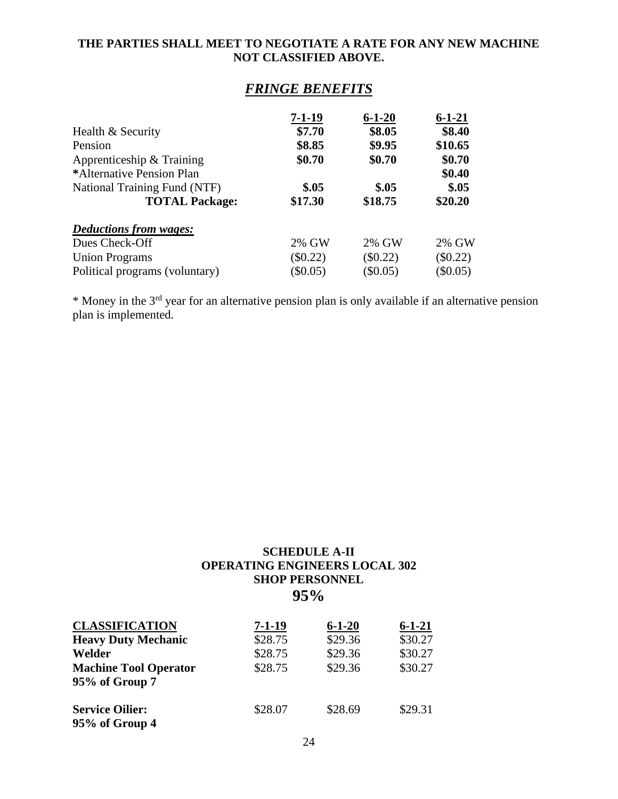### **THE PARTIES SHALL MEET TO NEGOTIATE A RATE FOR ANY NEW MACHINE NOT CLASSIFIED ABOVE.**

# *FRINGE BENEFITS*

|                                | $7 - 1 - 19$ | $6 - 1 - 20$ | $6 - 1 - 21$ |
|--------------------------------|--------------|--------------|--------------|
| Health & Security              | \$7.70       | \$8.05       | \$8.40       |
| Pension                        | \$8.85       | \$9.95       | \$10.65      |
| Apprenticeship & Training      | \$0.70       | \$0.70       | \$0.70       |
| *Alternative Pension Plan      |              |              | \$0.40       |
| National Training Fund (NTF)   | \$.05        | \$.05        | \$.05        |
| <b>TOTAL Package:</b>          | \$17.30      | \$18.75      | \$20.20      |
| <b>Deductions from wages:</b>  |              |              |              |
| Dues Check-Off                 | 2% GW        | 2% GW        | 2% GW        |
| <b>Union Programs</b>          | $\$0.22)$    | $(\$0.22)$   | $(\$0.22)$   |
| Political programs (voluntary) | \$0.05)      | $(\$0.05)$   | $(\$0.05)$   |

\* Money in the 3rd year for an alternative pension plan is only available if an alternative pension plan is implemented.

# **SCHEDULE A-II OPERATING ENGINEERS LOCAL 302 SHOP PERSONNEL 95%**

| <b>CLASSIFICATION</b>                    | 7-1-19  | $6 - 1 - 20$ | $6 - 1 - 21$ |
|------------------------------------------|---------|--------------|--------------|
| <b>Heavy Duty Mechanic</b>               | \$28.75 | \$29.36      | \$30.27      |
| Welder                                   | \$28.75 | \$29.36      | \$30.27      |
| <b>Machine Tool Operator</b>             | \$28.75 | \$29.36      | \$30.27      |
| 95% of Group 7                           |         |              |              |
| <b>Service Oilier:</b><br>95% of Group 4 | \$28.07 | \$28.69      | \$29.31      |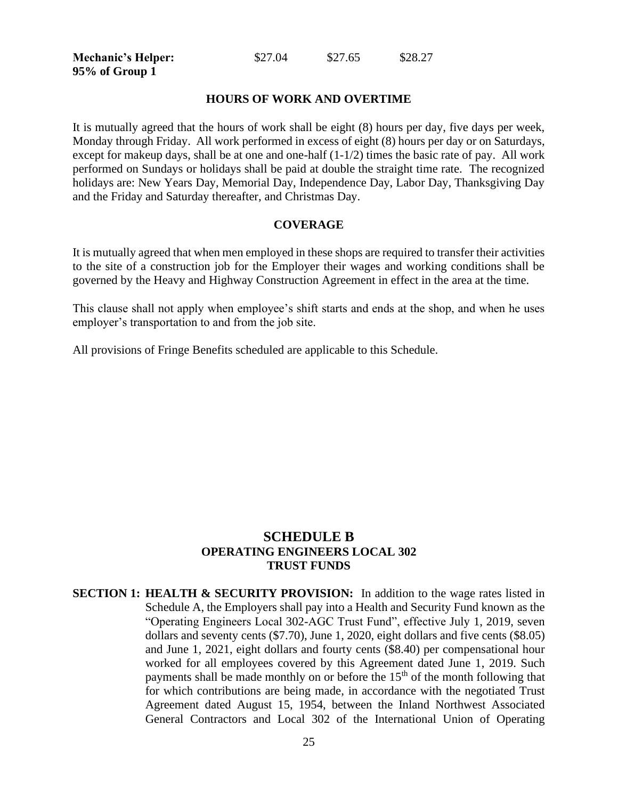**95% of Group 1**

**Mechanic's Helper:**  $$27.04$   $$27.65$   $$28.27$ 

#### **HOURS OF WORK AND OVERTIME**

It is mutually agreed that the hours of work shall be eight (8) hours per day, five days per week, Monday through Friday. All work performed in excess of eight (8) hours per day or on Saturdays, except for makeup days, shall be at one and one-half (1-1/2) times the basic rate of pay. All work performed on Sundays or holidays shall be paid at double the straight time rate. The recognized holidays are: New Years Day, Memorial Day, Independence Day, Labor Day, Thanksgiving Day and the Friday and Saturday thereafter, and Christmas Day.

#### **COVERAGE**

It is mutually agreed that when men employed in these shops are required to transfer their activities to the site of a construction job for the Employer their wages and working conditions shall be governed by the Heavy and Highway Construction Agreement in effect in the area at the time.

This clause shall not apply when employee's shift starts and ends at the shop, and when he uses employer's transportation to and from the job site.

All provisions of Fringe Benefits scheduled are applicable to this Schedule.

# **SCHEDULE B OPERATING ENGINEERS LOCAL 302 TRUST FUNDS**

**SECTION 1: HEALTH & SECURITY PROVISION:** In addition to the wage rates listed in Schedule A, the Employers shall pay into a Health and Security Fund known as the "Operating Engineers Local 302-AGC Trust Fund", effective July 1, 2019, seven dollars and seventy cents (\$7.70), June 1, 2020, eight dollars and five cents (\$8.05) and June 1, 2021, eight dollars and fourty cents (\$8.40) per compensational hour worked for all employees covered by this Agreement dated June 1, 2019. Such payments shall be made monthly on or before the  $15<sup>th</sup>$  of the month following that for which contributions are being made, in accordance with the negotiated Trust Agreement dated August 15, 1954, between the Inland Northwest Associated General Contractors and Local 302 of the International Union of Operating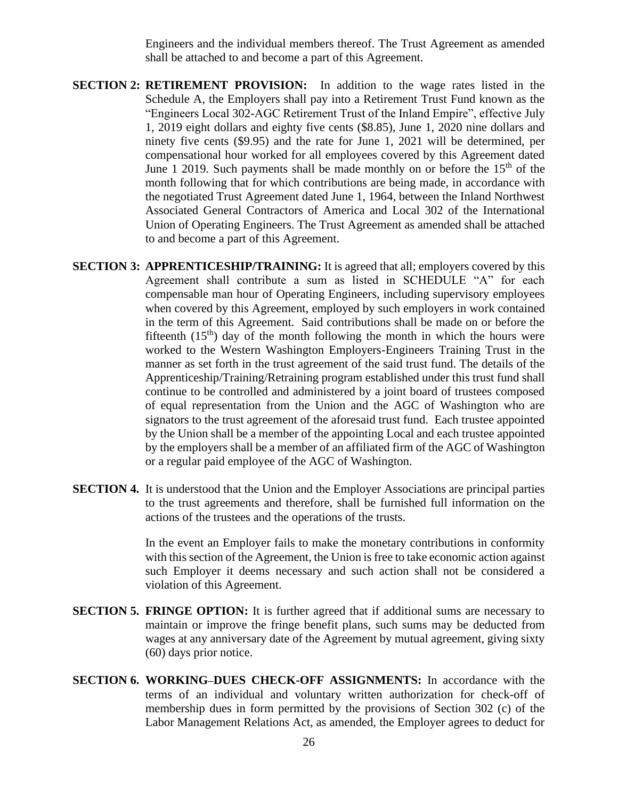Engineers and the individual members thereof. The Trust Agreement as amended shall be attached to and become a part of this Agreement.

- **SECTION 2: RETIREMENT PROVISION:** In addition to the wage rates listed in the Schedule A, the Employers shall pay into a Retirement Trust Fund known as the "Engineers Local 302-AGC Retirement Trust of the Inland Empire", effective July 1, 2019 eight dollars and eighty five cents (\$8.85), June 1, 2020 nine dollars and ninety five cents (\$9.95) and the rate for June 1, 2021 will be determined, per compensational hour worked for all employees covered by this Agreement dated June 1 2019. Such payments shall be made monthly on or before the  $15<sup>th</sup>$  of the month following that for which contributions are being made, in accordance with the negotiated Trust Agreement dated June 1, 1964, between the Inland Northwest Associated General Contractors of America and Local 302 of the International Union of Operating Engineers. The Trust Agreement as amended shall be attached to and become a part of this Agreement.
- **SECTION 3: APPRENTICESHIP/TRAINING:** It is agreed that all; employers covered by this Agreement shall contribute a sum as listed in SCHEDULE "A" for each compensable man hour of Operating Engineers, including supervisory employees when covered by this Agreement, employed by such employers in work contained in the term of this Agreement. Said contributions shall be made on or before the fifteenth  $(15<sup>th</sup>)$  day of the month following the month in which the hours were worked to the Western Washington Employers-Engineers Training Trust in the manner as set forth in the trust agreement of the said trust fund. The details of the Apprenticeship/Training/Retraining program established under this trust fund shall continue to be controlled and administered by a joint board of trustees composed of equal representation from the Union and the AGC of Washington who are signators to the trust agreement of the aforesaid trust fund. Each trustee appointed by the Union shall be a member of the appointing Local and each trustee appointed by the employers shall be a member of an affiliated firm of the AGC of Washington or a regular paid employee of the AGC of Washington.
- **SECTION 4.** It is understood that the Union and the Employer Associations are principal parties to the trust agreements and therefore, shall be furnished full information on the actions of the trustees and the operations of the trusts.

In the event an Employer fails to make the monetary contributions in conformity with this section of the Agreement, the Union is free to take economic action against such Employer it deems necessary and such action shall not be considered a violation of this Agreement.

- **SECTION 5. FRINGE OPTION:** It is further agreed that if additional sums are necessary to maintain or improve the fringe benefit plans, such sums may be deducted from wages at any anniversary date of the Agreement by mutual agreement, giving sixty (60) days prior notice.
- **SECTION 6. WORKING-DUES CHECK-OFF ASSIGNMENTS:** In accordance with the terms of an individual and voluntary written authorization for check-off of membership dues in form permitted by the provisions of Section 302 (c) of the Labor Management Relations Act, as amended, the Employer agrees to deduct for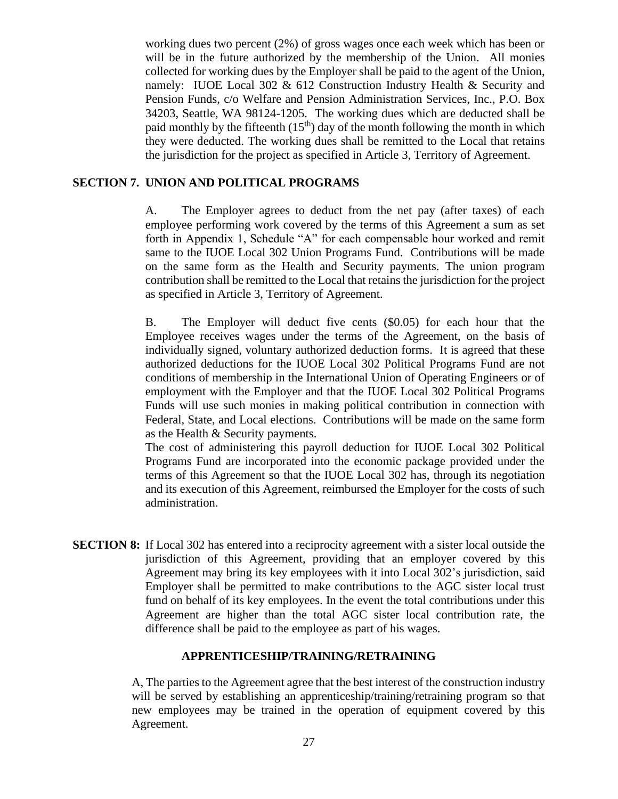working dues two percent (2%) of gross wages once each week which has been or will be in the future authorized by the membership of the Union. All monies collected for working dues by the Employer shall be paid to the agent of the Union, namely: IUOE Local 302 & 612 Construction Industry Health & Security and Pension Funds, c/o Welfare and Pension Administration Services, Inc., P.O. Box 34203, Seattle, WA 98124-1205. The working dues which are deducted shall be paid monthly by the fifteenth  $(15<sup>th</sup>)$  day of the month following the month in which they were deducted. The working dues shall be remitted to the Local that retains the jurisdiction for the project as specified in Article 3, Territory of Agreement.

## **SECTION 7. UNION AND POLITICAL PROGRAMS**

A. The Employer agrees to deduct from the net pay (after taxes) of each employee performing work covered by the terms of this Agreement a sum as set forth in Appendix 1, Schedule "A" for each compensable hour worked and remit same to the IUOE Local 302 Union Programs Fund. Contributions will be made on the same form as the Health and Security payments. The union program contribution shall be remitted to the Local that retains the jurisdiction for the project as specified in Article 3, Territory of Agreement.

B. The Employer will deduct five cents (\$0.05) for each hour that the Employee receives wages under the terms of the Agreement, on the basis of individually signed, voluntary authorized deduction forms. It is agreed that these authorized deductions for the IUOE Local 302 Political Programs Fund are not conditions of membership in the International Union of Operating Engineers or of employment with the Employer and that the IUOE Local 302 Political Programs Funds will use such monies in making political contribution in connection with Federal, State, and Local elections. Contributions will be made on the same form as the Health & Security payments.

The cost of administering this payroll deduction for IUOE Local 302 Political Programs Fund are incorporated into the economic package provided under the terms of this Agreement so that the IUOE Local 302 has, through its negotiation and its execution of this Agreement, reimbursed the Employer for the costs of such administration.

**SECTION 8:** If Local 302 has entered into a reciprocity agreement with a sister local outside the jurisdiction of this Agreement, providing that an employer covered by this Agreement may bring its key employees with it into Local 302's jurisdiction, said Employer shall be permitted to make contributions to the AGC sister local trust fund on behalf of its key employees. In the event the total contributions under this Agreement are higher than the total AGC sister local contribution rate, the difference shall be paid to the employee as part of his wages.

### **APPRENTICESHIP/TRAINING/RETRAINING**

A, The parties to the Agreement agree that the best interest of the construction industry will be served by establishing an apprenticeship/training/retraining program so that new employees may be trained in the operation of equipment covered by this Agreement.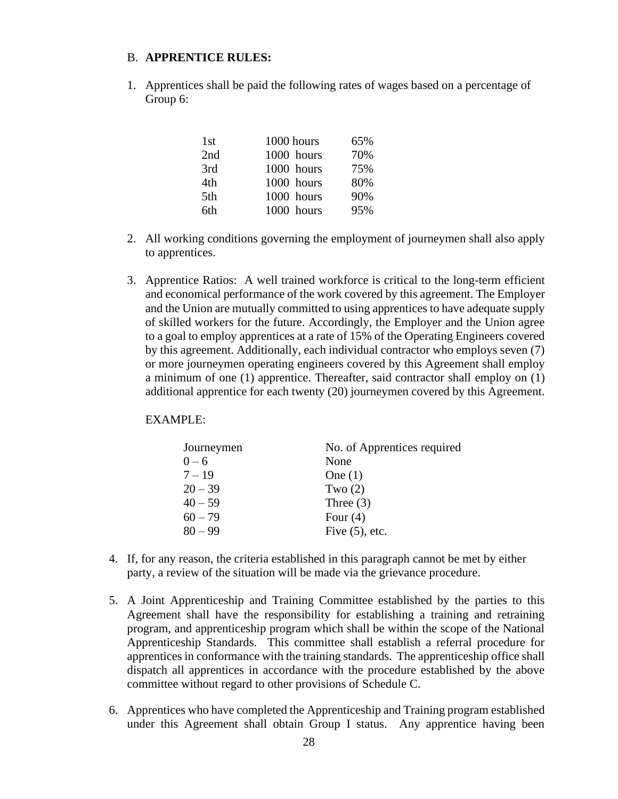#### B. **APPRENTICE RULES:**

1. Apprentices shall be paid the following rates of wages based on a percentage of Group 6:

| 1 <sub>st</sub> | 1000 hours | 65% |
|-----------------|------------|-----|
| 2nd             | 1000 hours | 70% |
| 3rd             | 1000 hours | 75% |
| 4th             | 1000 hours | 80% |
| 5th             | 1000 hours | 90% |
| 6th             | 1000 hours | 95% |

- 2. All working conditions governing the employment of journeymen shall also apply to apprentices.
- 3. Apprentice Ratios: A well trained workforce is critical to the long-term efficient and economical performance of the work covered by this agreement. The Employer and the Union are mutually committed to using apprentices to have adequate supply of skilled workers for the future. Accordingly, the Employer and the Union agree to a goal to employ apprentices at a rate of 15% of the Operating Engineers covered by this agreement. Additionally, each individual contractor who employs seven (7) or more journeymen operating engineers covered by this Agreement shall employ a minimum of one (1) apprentice. Thereafter, said contractor shall employ on (1) additional apprentice for each twenty (20) journeymen covered by this Agreement.

#### EXAMPLE:

| Journeymen | No. of Apprentices required |
|------------|-----------------------------|
| $0 - 6$    | None                        |
| $7 - 19$   | One $(1)$                   |
| $20 - 39$  | Two $(2)$                   |
| $40 - 59$  | Three $(3)$                 |
| $60 - 79$  | Four $(4)$                  |
| $80 - 99$  | Five $(5)$ , etc.           |

- 4. If, for any reason, the criteria established in this paragraph cannot be met by either party, a review of the situation will be made via the grievance procedure.
- 5. A Joint Apprenticeship and Training Committee established by the parties to this Agreement shall have the responsibility for establishing a training and retraining program, and apprenticeship program which shall be within the scope of the National Apprenticeship Standards. This committee shall establish a referral procedure for apprentices in conformance with the training standards. The apprenticeship office shall dispatch all apprentices in accordance with the procedure established by the above committee without regard to other provisions of Schedule C.
- 6. Apprentices who have completed the Apprenticeship and Training program established under this Agreement shall obtain Group I status. Any apprentice having been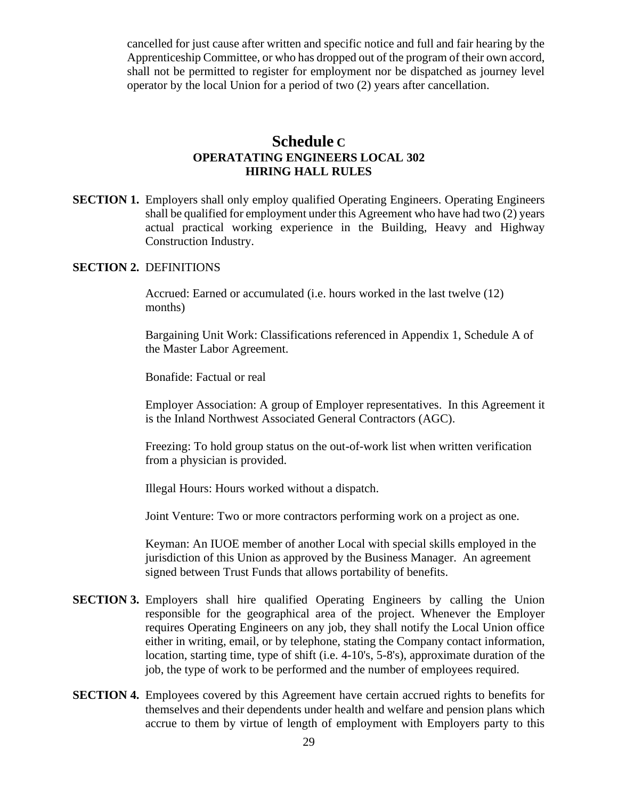cancelled for just cause after written and specific notice and full and fair hearing by the Apprenticeship Committee, or who has dropped out of the program of their own accord, shall not be permitted to register for employment nor be dispatched as journey level operator by the local Union for a period of two (2) years after cancellation.

# **Schedule C OPERATATING ENGINEERS LOCAL 302 HIRING HALL RULES**

**SECTION 1.** Employers shall only employ qualified Operating Engineers. Operating Engineers shall be qualified for employment under this Agreement who have had two (2) years actual practical working experience in the Building, Heavy and Highway Construction Industry.

#### **SECTION 2.** DEFINITIONS

Accrued: Earned or accumulated (i.e. hours worked in the last twelve (12) months)

Bargaining Unit Work: Classifications referenced in Appendix 1, Schedule A of the Master Labor Agreement.

Bonafide: Factual or real

Employer Association: A group of Employer representatives. In this Agreement it is the Inland Northwest Associated General Contractors (AGC).

Freezing: To hold group status on the out-of-work list when written verification from a physician is provided.

Illegal Hours: Hours worked without a dispatch.

Joint Venture: Two or more contractors performing work on a project as one.

Keyman: An IUOE member of another Local with special skills employed in the jurisdiction of this Union as approved by the Business Manager. An agreement signed between Trust Funds that allows portability of benefits.

- **SECTION 3.** Employers shall hire qualified Operating Engineers by calling the Union responsible for the geographical area of the project. Whenever the Employer requires Operating Engineers on any job, they shall notify the Local Union office either in writing, email, or by telephone, stating the Company contact information, location, starting time, type of shift (i.e. 4-10's, 5-8's), approximate duration of the job, the type of work to be performed and the number of employees required.
- **SECTION 4.** Employees covered by this Agreement have certain accrued rights to benefits for themselves and their dependents under health and welfare and pension plans which accrue to them by virtue of length of employment with Employers party to this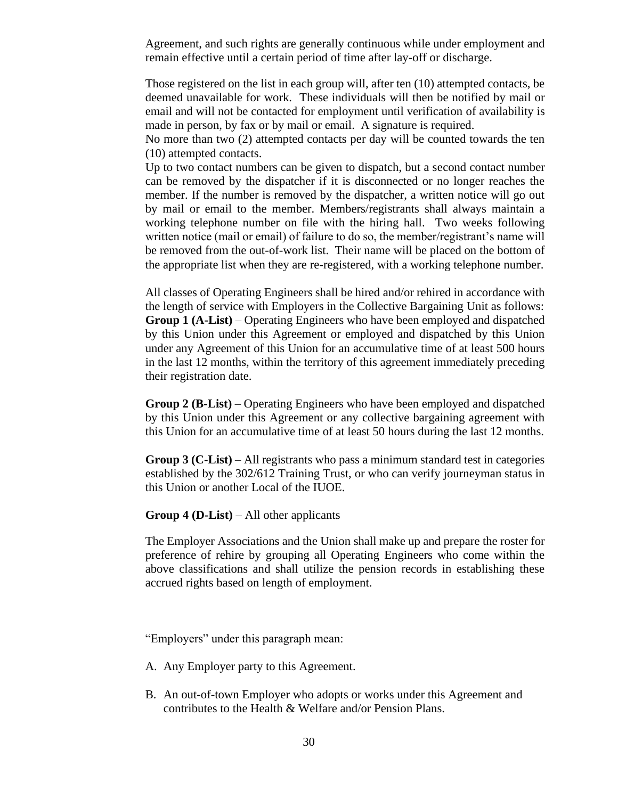Agreement, and such rights are generally continuous while under employment and remain effective until a certain period of time after lay-off or discharge.

Those registered on the list in each group will, after ten (10) attempted contacts, be deemed unavailable for work. These individuals will then be notified by mail or email and will not be contacted for employment until verification of availability is made in person, by fax or by mail or email. A signature is required.

No more than two (2) attempted contacts per day will be counted towards the ten (10) attempted contacts.

Up to two contact numbers can be given to dispatch, but a second contact number can be removed by the dispatcher if it is disconnected or no longer reaches the member. If the number is removed by the dispatcher, a written notice will go out by mail or email to the member. Members/registrants shall always maintain a working telephone number on file with the hiring hall. Two weeks following written notice (mail or email) of failure to do so, the member/registrant's name will be removed from the out-of-work list. Their name will be placed on the bottom of the appropriate list when they are re-registered, with a working telephone number.

All classes of Operating Engineers shall be hired and/or rehired in accordance with the length of service with Employers in the Collective Bargaining Unit as follows: **Group 1 (A-List)** – Operating Engineers who have been employed and dispatched by this Union under this Agreement or employed and dispatched by this Union under any Agreement of this Union for an accumulative time of at least 500 hours in the last 12 months, within the territory of this agreement immediately preceding their registration date.

**Group 2 (B-List)** – Operating Engineers who have been employed and dispatched by this Union under this Agreement or any collective bargaining agreement with this Union for an accumulative time of at least 50 hours during the last 12 months.

**Group 3 (C-List)** – All registrants who pass a minimum standard test in categories established by the 302/612 Training Trust, or who can verify journeyman status in this Union or another Local of the IUOE.

#### **Group 4 (D-List)** – All other applicants

The Employer Associations and the Union shall make up and prepare the roster for preference of rehire by grouping all Operating Engineers who come within the above classifications and shall utilize the pension records in establishing these accrued rights based on length of employment.

"Employers" under this paragraph mean:

- A. Any Employer party to this Agreement.
- B. An out-of-town Employer who adopts or works under this Agreement and contributes to the Health & Welfare and/or Pension Plans.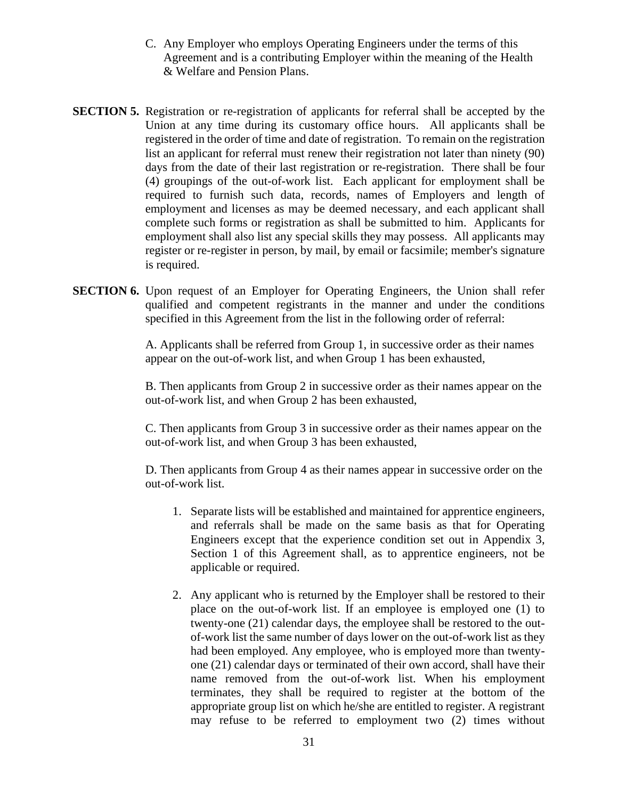- C. Any Employer who employs Operating Engineers under the terms of this Agreement and is a contributing Employer within the meaning of the Health & Welfare and Pension Plans.
- **SECTION 5.** Registration or re-registration of applicants for referral shall be accepted by the Union at any time during its customary office hours. All applicants shall be registered in the order of time and date of registration. To remain on the registration list an applicant for referral must renew their registration not later than ninety (90) days from the date of their last registration or re-registration. There shall be four (4) groupings of the out-of-work list. Each applicant for employment shall be required to furnish such data, records, names of Employers and length of employment and licenses as may be deemed necessary, and each applicant shall complete such forms or registration as shall be submitted to him. Applicants for employment shall also list any special skills they may possess. All applicants may register or re-register in person, by mail, by email or facsimile; member's signature is required.
- **SECTION 6.** Upon request of an Employer for Operating Engineers, the Union shall refer qualified and competent registrants in the manner and under the conditions specified in this Agreement from the list in the following order of referral:

A. Applicants shall be referred from Group 1, in successive order as their names appear on the out-of-work list, and when Group 1 has been exhausted,

B. Then applicants from Group 2 in successive order as their names appear on the out-of-work list, and when Group 2 has been exhausted,

C. Then applicants from Group 3 in successive order as their names appear on the out-of-work list, and when Group 3 has been exhausted,

D. Then applicants from Group 4 as their names appear in successive order on the out-of-work list.

- 1. Separate lists will be established and maintained for apprentice engineers, and referrals shall be made on the same basis as that for Operating Engineers except that the experience condition set out in Appendix 3, Section 1 of this Agreement shall, as to apprentice engineers, not be applicable or required.
- 2. Any applicant who is returned by the Employer shall be restored to their place on the out-of-work list. If an employee is employed one (1) to twenty-one (21) calendar days, the employee shall be restored to the outof-work list the same number of days lower on the out-of-work list as they had been employed. Any employee, who is employed more than twentyone (21) calendar days or terminated of their own accord, shall have their name removed from the out-of-work list. When his employment terminates, they shall be required to register at the bottom of the appropriate group list on which he/she are entitled to register. A registrant may refuse to be referred to employment two (2) times without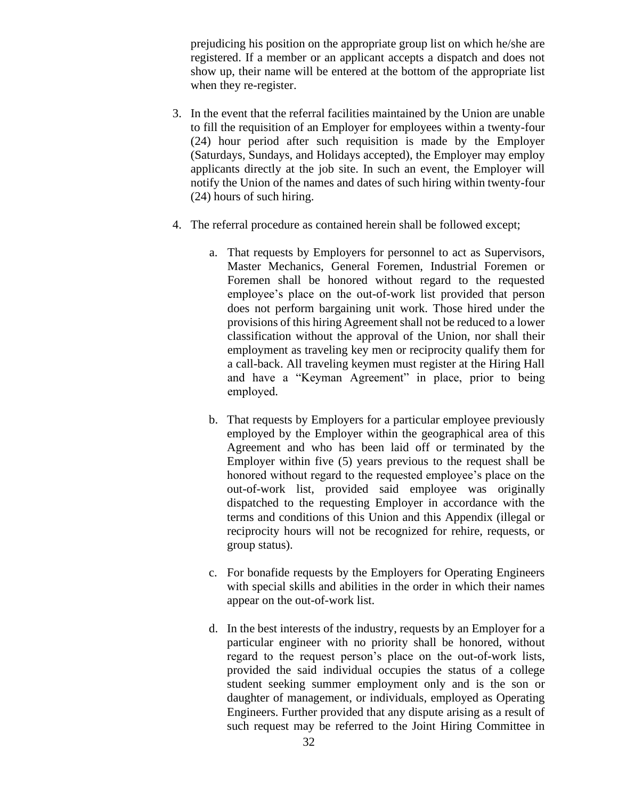prejudicing his position on the appropriate group list on which he/she are registered. If a member or an applicant accepts a dispatch and does not show up, their name will be entered at the bottom of the appropriate list when they re-register.

- 3. In the event that the referral facilities maintained by the Union are unable to fill the requisition of an Employer for employees within a twenty-four (24) hour period after such requisition is made by the Employer (Saturdays, Sundays, and Holidays accepted), the Employer may employ applicants directly at the job site. In such an event, the Employer will notify the Union of the names and dates of such hiring within twenty-four (24) hours of such hiring.
- 4. The referral procedure as contained herein shall be followed except;
	- a. That requests by Employers for personnel to act as Supervisors, Master Mechanics, General Foremen, Industrial Foremen or Foremen shall be honored without regard to the requested employee's place on the out-of-work list provided that person does not perform bargaining unit work. Those hired under the provisions of this hiring Agreement shall not be reduced to a lower classification without the approval of the Union, nor shall their employment as traveling key men or reciprocity qualify them for a call-back. All traveling keymen must register at the Hiring Hall and have a "Keyman Agreement" in place, prior to being employed.
	- b. That requests by Employers for a particular employee previously employed by the Employer within the geographical area of this Agreement and who has been laid off or terminated by the Employer within five (5) years previous to the request shall be honored without regard to the requested employee's place on the out-of-work list, provided said employee was originally dispatched to the requesting Employer in accordance with the terms and conditions of this Union and this Appendix (illegal or reciprocity hours will not be recognized for rehire, requests, or group status).
	- c. For bonafide requests by the Employers for Operating Engineers with special skills and abilities in the order in which their names appear on the out-of-work list.
	- d. In the best interests of the industry, requests by an Employer for a particular engineer with no priority shall be honored, without regard to the request person's place on the out-of-work lists, provided the said individual occupies the status of a college student seeking summer employment only and is the son or daughter of management, or individuals, employed as Operating Engineers. Further provided that any dispute arising as a result of such request may be referred to the Joint Hiring Committee in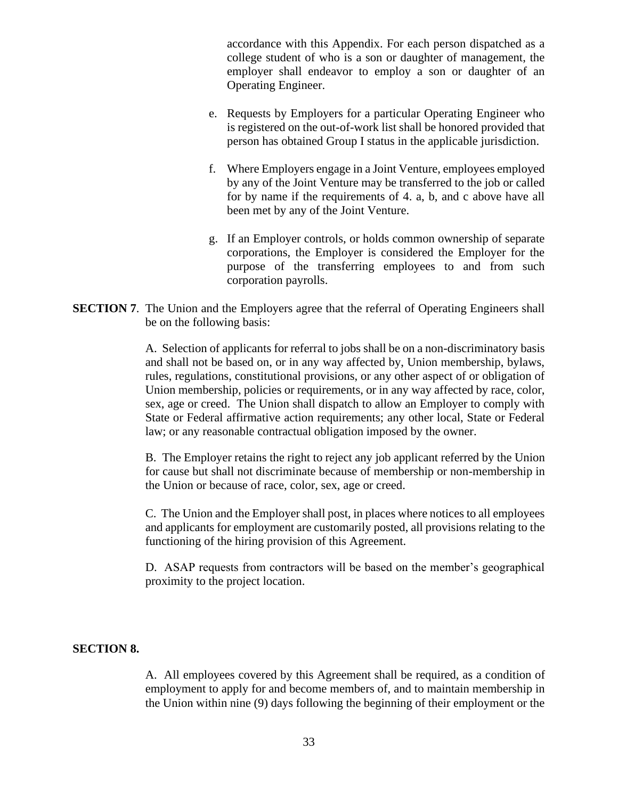accordance with this Appendix. For each person dispatched as a college student of who is a son or daughter of management, the employer shall endeavor to employ a son or daughter of an Operating Engineer.

- e. Requests by Employers for a particular Operating Engineer who is registered on the out-of-work list shall be honored provided that person has obtained Group I status in the applicable jurisdiction.
- f. Where Employers engage in a Joint Venture, employees employed by any of the Joint Venture may be transferred to the job or called for by name if the requirements of 4. a, b, and c above have all been met by any of the Joint Venture.
- g. If an Employer controls, or holds common ownership of separate corporations, the Employer is considered the Employer for the purpose of the transferring employees to and from such corporation payrolls.
- **SECTION 7.** The Union and the Employers agree that the referral of Operating Engineers shall be on the following basis:

A. Selection of applicants for referral to jobs shall be on a non-discriminatory basis and shall not be based on, or in any way affected by, Union membership, bylaws, rules, regulations, constitutional provisions, or any other aspect of or obligation of Union membership, policies or requirements, or in any way affected by race, color, sex, age or creed. The Union shall dispatch to allow an Employer to comply with State or Federal affirmative action requirements; any other local, State or Federal law; or any reasonable contractual obligation imposed by the owner.

B. The Employer retains the right to reject any job applicant referred by the Union for cause but shall not discriminate because of membership or non-membership in the Union or because of race, color, sex, age or creed.

C. The Union and the Employer shall post, in places where notices to all employees and applicants for employment are customarily posted, all provisions relating to the functioning of the hiring provision of this Agreement.

D. ASAP requests from contractors will be based on the member's geographical proximity to the project location.

#### **SECTION 8.**

A. All employees covered by this Agreement shall be required, as a condition of employment to apply for and become members of, and to maintain membership in the Union within nine (9) days following the beginning of their employment or the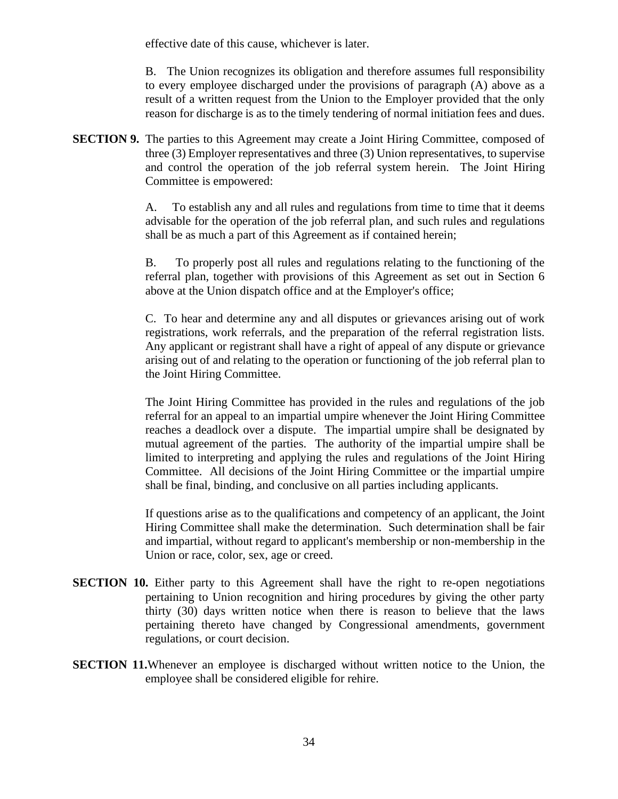effective date of this cause, whichever is later.

B. The Union recognizes its obligation and therefore assumes full responsibility to every employee discharged under the provisions of paragraph (A) above as a result of a written request from the Union to the Employer provided that the only reason for discharge is as to the timely tendering of normal initiation fees and dues.

**SECTION 9.** The parties to this Agreement may create a Joint Hiring Committee, composed of three (3) Employer representatives and three (3) Union representatives, to supervise and control the operation of the job referral system herein. The Joint Hiring Committee is empowered:

> A. To establish any and all rules and regulations from time to time that it deems advisable for the operation of the job referral plan, and such rules and regulations shall be as much a part of this Agreement as if contained herein;

> B. To properly post all rules and regulations relating to the functioning of the referral plan, together with provisions of this Agreement as set out in Section 6 above at the Union dispatch office and at the Employer's office;

> C. To hear and determine any and all disputes or grievances arising out of work registrations, work referrals, and the preparation of the referral registration lists. Any applicant or registrant shall have a right of appeal of any dispute or grievance arising out of and relating to the operation or functioning of the job referral plan to the Joint Hiring Committee.

> The Joint Hiring Committee has provided in the rules and regulations of the job referral for an appeal to an impartial umpire whenever the Joint Hiring Committee reaches a deadlock over a dispute. The impartial umpire shall be designated by mutual agreement of the parties. The authority of the impartial umpire shall be limited to interpreting and applying the rules and regulations of the Joint Hiring Committee. All decisions of the Joint Hiring Committee or the impartial umpire shall be final, binding, and conclusive on all parties including applicants.

> If questions arise as to the qualifications and competency of an applicant, the Joint Hiring Committee shall make the determination. Such determination shall be fair and impartial, without regard to applicant's membership or non-membership in the Union or race, color, sex, age or creed.

- **SECTION 10.** Either party to this Agreement shall have the right to re-open negotiations pertaining to Union recognition and hiring procedures by giving the other party thirty (30) days written notice when there is reason to believe that the laws pertaining thereto have changed by Congressional amendments, government regulations, or court decision.
- **SECTION 11.**Whenever an employee is discharged without written notice to the Union, the employee shall be considered eligible for rehire.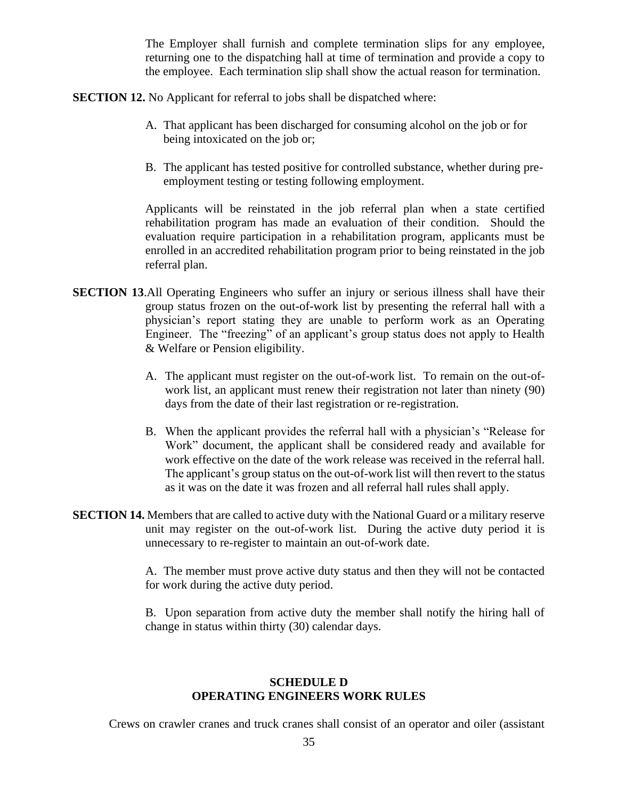The Employer shall furnish and complete termination slips for any employee, returning one to the dispatching hall at time of termination and provide a copy to the employee. Each termination slip shall show the actual reason for termination.

**SECTION 12.** No Applicant for referral to jobs shall be dispatched where:

- A. That applicant has been discharged for consuming alcohol on the job or for being intoxicated on the job or;
- B. The applicant has tested positive for controlled substance, whether during preemployment testing or testing following employment.

Applicants will be reinstated in the job referral plan when a state certified rehabilitation program has made an evaluation of their condition. Should the evaluation require participation in a rehabilitation program, applicants must be enrolled in an accredited rehabilitation program prior to being reinstated in the job referral plan.

- **SECTION 13.**All Operating Engineers who suffer an injury or serious illness shall have their group status frozen on the out-of-work list by presenting the referral hall with a physician's report stating they are unable to perform work as an Operating Engineer. The "freezing" of an applicant's group status does not apply to Health & Welfare or Pension eligibility.
	- A. The applicant must register on the out-of-work list. To remain on the out-ofwork list, an applicant must renew their registration not later than ninety (90) days from the date of their last registration or re-registration.
	- B. When the applicant provides the referral hall with a physician's "Release for Work" document, the applicant shall be considered ready and available for work effective on the date of the work release was received in the referral hall. The applicant's group status on the out-of-work list will then revert to the status as it was on the date it was frozen and all referral hall rules shall apply.
- **SECTION 14.** Members that are called to active duty with the National Guard or a military reserve unit may register on the out-of-work list. During the active duty period it is unnecessary to re-register to maintain an out-of-work date.

A. The member must prove active duty status and then they will not be contacted for work during the active duty period.

B. Upon separation from active duty the member shall notify the hiring hall of change in status within thirty (30) calendar days.

### **SCHEDULE D OPERATING ENGINEERS WORK RULES**

Crews on crawler cranes and truck cranes shall consist of an operator and oiler (assistant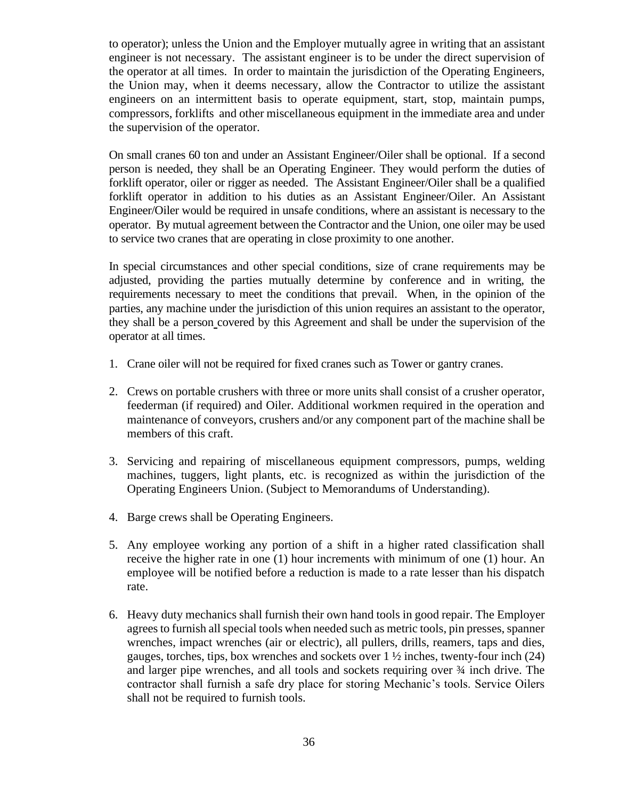to operator); unless the Union and the Employer mutually agree in writing that an assistant engineer is not necessary. The assistant engineer is to be under the direct supervision of the operator at all times. In order to maintain the jurisdiction of the Operating Engineers, the Union may, when it deems necessary, allow the Contractor to utilize the assistant engineers on an intermittent basis to operate equipment, start, stop, maintain pumps, compressors, forklifts and other miscellaneous equipment in the immediate area and under the supervision of the operator.

On small cranes 60 ton and under an Assistant Engineer/Oiler shall be optional. If a second person is needed, they shall be an Operating Engineer. They would perform the duties of forklift operator, oiler or rigger as needed. The Assistant Engineer/Oiler shall be a qualified forklift operator in addition to his duties as an Assistant Engineer/Oiler. An Assistant Engineer/Oiler would be required in unsafe conditions, where an assistant is necessary to the operator. By mutual agreement between the Contractor and the Union, one oiler may be used to service two cranes that are operating in close proximity to one another.

In special circumstances and other special conditions, size of crane requirements may be adjusted, providing the parties mutually determine by conference and in writing, the requirements necessary to meet the conditions that prevail. When, in the opinion of the parties, any machine under the jurisdiction of this union requires an assistant to the operator, they shall be a person covered by this Agreement and shall be under the supervision of the operator at all times.

- 1. Crane oiler will not be required for fixed cranes such as Tower or gantry cranes.
- 2. Crews on portable crushers with three or more units shall consist of a crusher operator, feederman (if required) and Oiler. Additional workmen required in the operation and maintenance of conveyors, crushers and/or any component part of the machine shall be members of this craft.
- 3. Servicing and repairing of miscellaneous equipment compressors, pumps, welding machines, tuggers, light plants, etc. is recognized as within the jurisdiction of the Operating Engineers Union. (Subject to Memorandums of Understanding).
- 4. Barge crews shall be Operating Engineers.
- 5. Any employee working any portion of a shift in a higher rated classification shall receive the higher rate in one (1) hour increments with minimum of one (1) hour. An employee will be notified before a reduction is made to a rate lesser than his dispatch rate.
- 6. Heavy duty mechanics shall furnish their own hand tools in good repair. The Employer agrees to furnish all special tools when needed such as metric tools, pin presses, spanner wrenches, impact wrenches (air or electric), all pullers, drills, reamers, taps and dies, gauges, torches, tips, box wrenches and sockets over  $1 \frac{1}{2}$  inches, twenty-four inch (24) and larger pipe wrenches, and all tools and sockets requiring over ¾ inch drive. The contractor shall furnish a safe dry place for storing Mechanic's tools. Service Oilers shall not be required to furnish tools.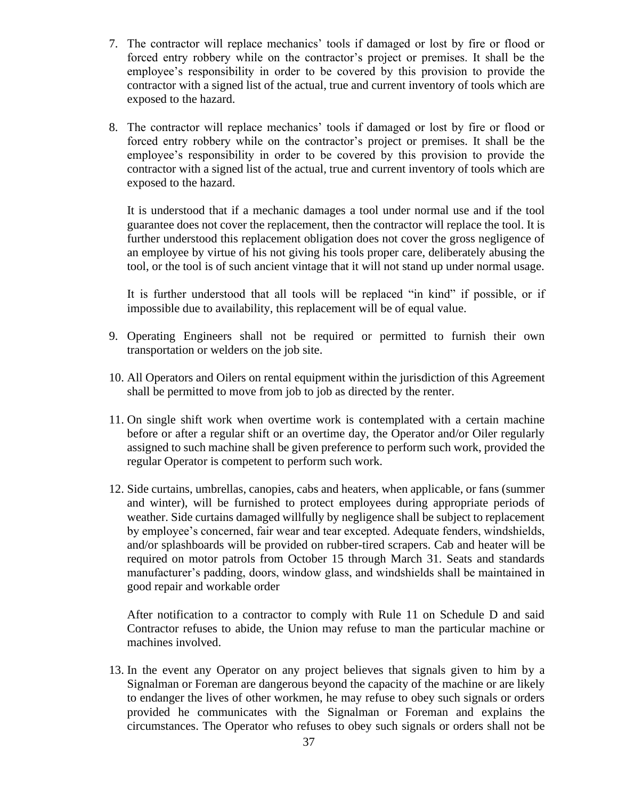- 7. The contractor will replace mechanics' tools if damaged or lost by fire or flood or forced entry robbery while on the contractor's project or premises. It shall be the employee's responsibility in order to be covered by this provision to provide the contractor with a signed list of the actual, true and current inventory of tools which are exposed to the hazard.
- 8. The contractor will replace mechanics' tools if damaged or lost by fire or flood or forced entry robbery while on the contractor's project or premises. It shall be the employee's responsibility in order to be covered by this provision to provide the contractor with a signed list of the actual, true and current inventory of tools which are exposed to the hazard.

It is understood that if a mechanic damages a tool under normal use and if the tool guarantee does not cover the replacement, then the contractor will replace the tool. It is further understood this replacement obligation does not cover the gross negligence of an employee by virtue of his not giving his tools proper care, deliberately abusing the tool, or the tool is of such ancient vintage that it will not stand up under normal usage.

It is further understood that all tools will be replaced "in kind" if possible, or if impossible due to availability, this replacement will be of equal value.

- 9. Operating Engineers shall not be required or permitted to furnish their own transportation or welders on the job site.
- 10. All Operators and Oilers on rental equipment within the jurisdiction of this Agreement shall be permitted to move from job to job as directed by the renter.
- 11. On single shift work when overtime work is contemplated with a certain machine before or after a regular shift or an overtime day, the Operator and/or Oiler regularly assigned to such machine shall be given preference to perform such work, provided the regular Operator is competent to perform such work.
- 12. Side curtains, umbrellas, canopies, cabs and heaters, when applicable, or fans (summer and winter), will be furnished to protect employees during appropriate periods of weather. Side curtains damaged willfully by negligence shall be subject to replacement by employee's concerned, fair wear and tear excepted. Adequate fenders, windshields, and/or splashboards will be provided on rubber-tired scrapers. Cab and heater will be required on motor patrols from October 15 through March 31. Seats and standards manufacturer's padding, doors, window glass, and windshields shall be maintained in good repair and workable order

After notification to a contractor to comply with Rule 11 on Schedule D and said Contractor refuses to abide, the Union may refuse to man the particular machine or machines involved.

13. In the event any Operator on any project believes that signals given to him by a Signalman or Foreman are dangerous beyond the capacity of the machine or are likely to endanger the lives of other workmen, he may refuse to obey such signals or orders provided he communicates with the Signalman or Foreman and explains the circumstances. The Operator who refuses to obey such signals or orders shall not be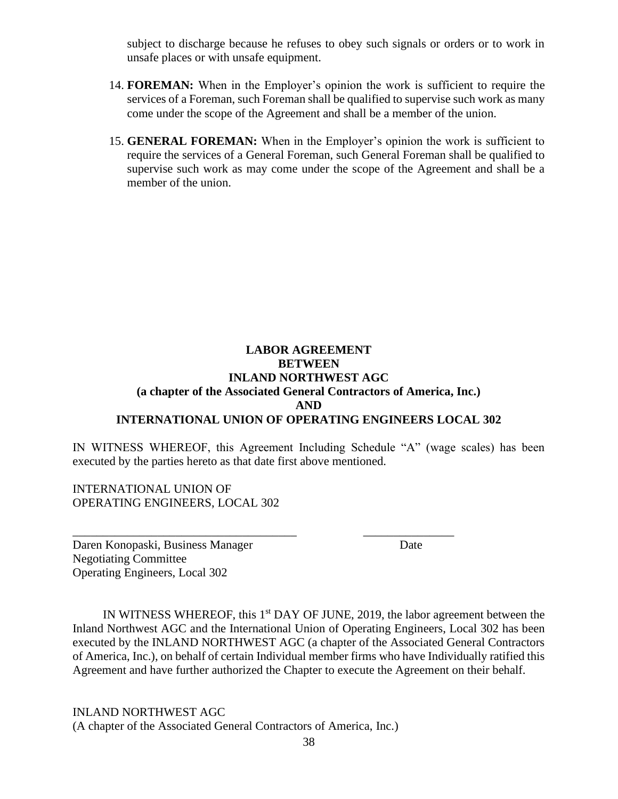subject to discharge because he refuses to obey such signals or orders or to work in unsafe places or with unsafe equipment.

- 14. **FOREMAN:** When in the Employer's opinion the work is sufficient to require the services of a Foreman, such Foreman shall be qualified to supervise such work as many come under the scope of the Agreement and shall be a member of the union.
- 15. **GENERAL FOREMAN:** When in the Employer's opinion the work is sufficient to require the services of a General Foreman, such General Foreman shall be qualified to supervise such work as may come under the scope of the Agreement and shall be a member of the union.

## **LABOR AGREEMENT BETWEEN INLAND NORTHWEST AGC (a chapter of the Associated General Contractors of America, Inc.) AND INTERNATIONAL UNION OF OPERATING ENGINEERS LOCAL 302**

IN WITNESS WHEREOF, this Agreement Including Schedule "A" (wage scales) has been executed by the parties hereto as that date first above mentioned.

\_\_\_\_\_\_\_\_\_\_\_\_\_\_\_\_\_\_\_\_\_\_\_\_\_\_\_\_\_\_\_\_\_\_\_\_\_ \_\_\_\_\_\_\_\_\_\_\_\_\_\_\_

INTERNATIONAL UNION OF OPERATING ENGINEERS, LOCAL 302

Daren Konopaski, Business Manager Date Negotiating Committee Operating Engineers, Local 302

IN WITNESS WHEREOF, this 1<sup>st</sup> DAY OF JUNE, 2019, the labor agreement between the Inland Northwest AGC and the International Union of Operating Engineers, Local 302 has been executed by the INLAND NORTHWEST AGC (a chapter of the Associated General Contractors of America, Inc.), on behalf of certain Individual member firms who have Individually ratified this Agreement and have further authorized the Chapter to execute the Agreement on their behalf.

INLAND NORTHWEST AGC (A chapter of the Associated General Contractors of America, Inc.)